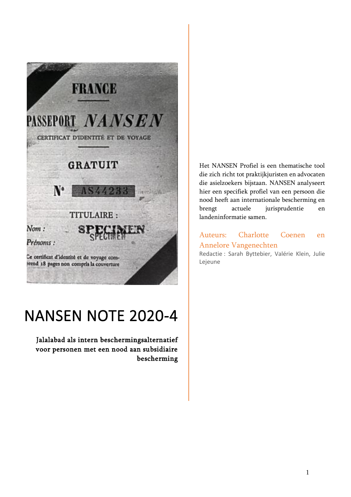

# NANSEN NOTE 2020-4

Jalalabad als intern beschermingsalternatief voor personen met een nood aan subsidiaire bescherming Het NANSEN Profiel is een thematische tool die zich richt tot praktijkjuristen en advocaten die asielzoekers bijstaan. NANSEN analyseert hier een specifiek profiel van een persoon die nood heeft aan internationale bescherming en brengt actuele jurisprudentie en landeninformatie samen.

# Auteurs: Charlotte Coenen en Annelore Vangenechten

Redactie : Sarah Byttebier, Valérie Klein, Julie Lejeune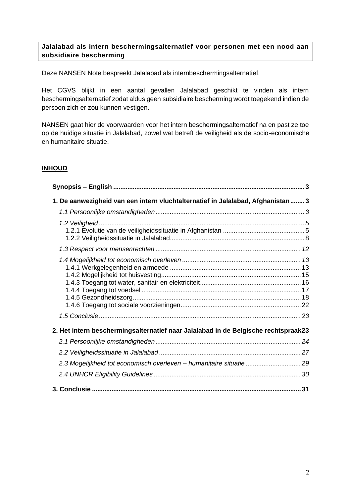## **Jalalabad als intern beschermingsalternatief voor personen met een nood aan subsidiaire bescherming**

Deze NANSEN Note bespreekt Jalalabad als internbeschermingsalternatief.

Het CGVS blijkt in een aantal gevallen Jalalabad geschikt te vinden als intern beschermingsalternatief zodat aldus geen subsidiaire bescherming wordt toegekend indien de persoon zich er zou kunnen vestigen.

NANSEN gaat hier de voorwaarden voor het intern beschermingsalternatief na en past ze toe op de huidige situatie in Jalalabad, zowel wat betreft de veiligheid als de socio-economische en humanitaire situatie.

# **INHOUD**

<span id="page-1-0"></span>

| 1. De aanwezigheid van een intern vluchtalternatief in Jalalabad, Afghanistan 3    |
|------------------------------------------------------------------------------------|
|                                                                                    |
|                                                                                    |
|                                                                                    |
|                                                                                    |
| 2. Het intern beschermingsalternatief naar Jalalabad in de Belgische rechtspraak23 |
|                                                                                    |
|                                                                                    |
| 2.3 Mogelijkheid tot economisch overleven - humanitaire situatie 29                |
|                                                                                    |
|                                                                                    |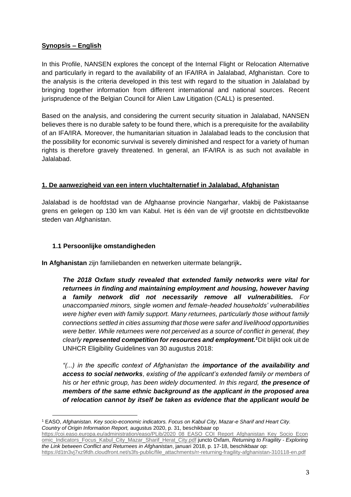# **Synopsis – English**

In this Profile, NANSEN explores the concept of the Internal Flight or Relocation Alternative and particularly in regard to the availability of an IFA/IRA in Jalalabad, Afghanistan. Core to the analysis is the criteria developed in this test with regard to the situation in Jalalabad by bringing together information from different international and national sources. Recent jurisprudence of the Belgian Council for Alien Law Litigation (CALL) is presented.

Based on the analysis, and considering the current security situation in Jalalabad, NANSEN believes there is no durable safety to be found there, which is a prerequisite for the availability of an IFA/IRA. Moreover, the humanitarian situation in Jalalabad leads to the conclusion that the possibility for economic survival is severely diminished and respect for a variety of human rights is therefore gravely threatened. In general, an IFA/IRA is as such not available in Jalalabad.

## <span id="page-2-0"></span>**1. De aanwezigheid van een intern vluchtalternatief in Jalalabad, Afghanistan**

Jalalabad is de hoofdstad van de Afghaanse provincie Nangarhar, vlakbij de Pakistaanse grens en gelegen op 130 km van Kabul. Het is één van de vijf grootste en dichtstbevolkte steden van Afghanistan.

## <span id="page-2-1"></span>**1.1 Persoonlijke omstandigheden**

**In Afghanistan** zijn familiebanden en netwerken uitermate belangrijk**.** 

*The 2018 Oxfam study revealed that extended family networks were vital for returnees in finding and maintaining employment and housing, however having a family network did not necessarily remove all vulnerabilities. For unaccompanied minors, single women and female-headed households' vulnerabilities were higher even with family support. Many returnees, particularly those without family connections settled in cities assuming that those were safer and livelihood opportunities were better. While returnees were not perceived as a source of conflict in general, they clearly represented competition for resources and employment.<sup>1</sup>*Dit blijkt ook uit de UNHCR Eligibility Guidelines van 30 augustus 2018:

*"(...) in the specific context of Afghanistan the importance of the availability and access to social networks, existing of the applicant's extended family or members of his or her ethnic group, has been widely documented. In this regard, the presence of members of the same ethnic background as the applicant in the proposed area of relocation cannot by itself be taken as evidence that the applicant would be* 

<sup>1</sup> EASO, *Afghanistan. Key socio-economic indicators. Focus on Kabul City, Mazar-e Sharif and Heart City. Country of Origin Information Report,* augustus 2020, p. 31, beschikbaar op

[https://coi.easo.europa.eu/administration/easo/PLib/2020\\_08\\_EASO\\_COI\\_Report\\_Afghanistan\\_Key\\_Socio\\_Econ](https://coi.easo.europa.eu/administration/easo/PLib/2020_08_EASO_COI_Report_Afghanistan_Key_Socio_Economic_Indicators_Focus_Kabul_City_Mazar_Sharif_Herat_City.pdf) [omic\\_Indicators\\_Focus\\_Kabul\\_City\\_Mazar\\_Sharif\\_Herat\\_City.pdf](https://coi.easo.europa.eu/administration/easo/PLib/2020_08_EASO_COI_Report_Afghanistan_Key_Socio_Economic_Indicators_Focus_Kabul_City_Mazar_Sharif_Herat_City.pdf) juncto Oxfam, *Returning to Fragility - Exploring the Link between Conflict and Returnees in Afghanistan*, januari 2018, p. 17-18, beschikbaar op: [https://d1tn3vj7xz9fdh.cloudfront.net/s3fs-public/file\\_attachments/rr-returning-fragility-afghanistan-310118-en.pdf](https://d1tn3vj7xz9fdh.cloudfront.net/s3fs-public/file_attachments/rr-returning-fragility-afghanistan-310118-en.pdf)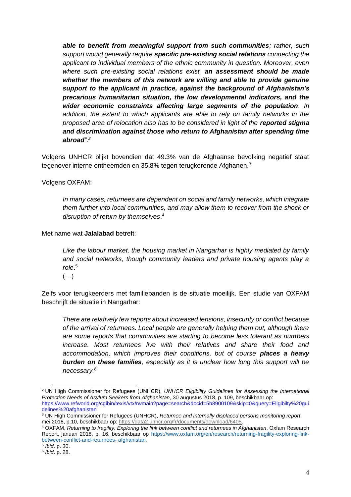*able to benefit from meaningful support from such communities; rather, such support would generally require specific pre-existing social relations connecting the applicant to individual members of the ethnic community in question. Moreover, even where such pre-existing social relations exist, an assessment should be made whether the members of this network are willing and able to provide genuine support to the applicant in practice, against the background of Afghanistan's precarious humanitarian situation, the low developmental indicators, and the wider economic constraints affecting large segments of the population. In addition, the extent to which applicants are able to rely on family networks in the proposed area of relocation also has to be considered in light of the reported stigma and discrimination against those who return to Afghanistan after spending time abroad".<sup>2</sup>*

Volgens UNHCR blijkt bovendien dat 49.3% van de Afghaanse bevolking negatief staat tegenover interne ontheemden en 35.8% tegen terugkerende Afghanen.<sup>3</sup>

Volgens OXFAM:

*In many cases, returnees are dependent on social and family networks, which integrate them further into local communities, and may allow them to recover from the shock or disruption of return by themselves*. 4

Met name wat **Jalalabad** betreft:

*Like the labour market, the housing market in Nangarhar is highly mediated by family and social networks, though community leaders and private housing agents play a role*. 5

(…)

Zelfs voor terugkeerders met familiebanden is de situatie moeilijk. Een studie van OXFAM beschrijft de situatie in Nangarhar:

*There are relatively few reports about increased tensions, insecurity or conflict because of the arrival of returnees. Local people are generally helping them out, although there are some reports that communities are starting to become less tolerant as numbers increase. Most returnees live with their relatives and share their food and accommodation, which improves their conditions, but of course places a heavy burden on these families, especially as it is unclear how long this support will be necessary.<sup>6</sup>*

<sup>2</sup> UN High Commissioner for Refugees (UNHCR), *UNHCR Eligibility Guidelines for Assessing the International Protection Needs of Asylum Seekers from Afghanistan*, 30 augustus 2018, p. 109, beschikbaar op:

https://www.refworld.org/cgibin/texis/vtx/rwmain?page=search&docid=5b8900109&skip=0&query=Eligibilty%20gui delines%20afghanistan

<sup>3</sup> UN High Commissioner for Refugees (UNHCR), *Returnee and internally displaced persons monitoring report*, mei 2018, p.10, beschikbaar op: [https://data2.unhcr.org/fr/documents/download/6405.](https://data2.unhcr.org/fr/documents/download/6405)

<sup>4</sup> OXFAM, *Returning to fragility. Exploring the link between conflict and returnees in Afghanistan*, Oxfam Research Report, januari 2018, p. 16, beschikbaar op https://www.oxfam.org/en/research/returning-fragility-exploring-linkbetween-conflict-and-returnees- afghanistan.

<sup>5</sup> *Ibid*. p. 30.

<sup>6</sup> *Ibid*. p. 28.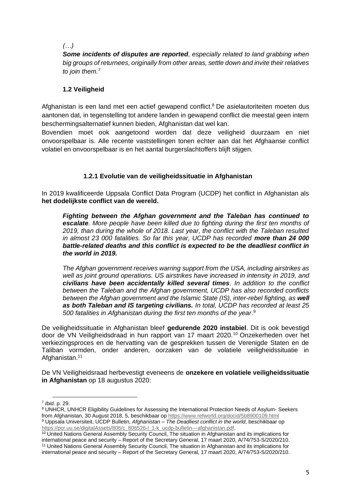*(…)*

*Some incidents of disputes are reported, especially related to land grabbing when big groups of returnees, originally from other areas, settle down and invite their relatives to join them.<sup>7</sup>*

# <span id="page-4-0"></span>**1.2 Veiligheid**

Afghanistan is een land met een actief gewapend conflict.<sup>8</sup> De asielautoriteiten moeten dus aantonen dat, in tegenstelling tot andere landen in gewapend conflict die meestal geen intern beschermingsalternatief kunnen bieden, Afghanistan dat wel kan.

Bovendien moet ook aangetoond worden dat deze veiligheid duurzaam en niet onvoorspelbaar is. Alle recente vaststellingen tonen echter aan dat het Afghaanse conflict volatiel en onvoorspelbaar is en het aantal burgerslachtoffers blijft stijgen.

# **1.2.1 Evolutie van de veiligheidssituatie in Afghanistan**

<span id="page-4-1"></span>In 2019 kwalificeerde Uppsala Conflict Data Program (UCDP) het conflict in Afghanistan als **het dodelijkste conflict van de wereld.**

*Fighting between the Afghan government and the Taleban has continued to escalate. More people have been killed due to fighting during the first ten months of 2019, than during the whole of 2018. Last year, the conflict with the Taleban resulted in almost 23 000 fatalities. So far this year, UCDP has recorded more than 24 000 battle-related deaths and this conflict is expected to be the deadliest conflict in the world in 2019.* 

*The Afghan government receives warring support from the USA, including airstrikes as well as joint ground operations. US airstrikes have increased in intensity in 2019, and civilians have been accidentally killed several times. In addition to the conflict between the Taleban and the Afghan government, UCDP has also recorded conflicts between the Afghan government and the Islamic State (IS), inter-rebel fighting, as well as both Taleban and IS targeting civilians. In total, UCDP has recorded at least 25 500 fatalities in Afghanistan during the first ten months of the year*. 9

De veiligheidssituatie in Afghanistan bleef **gedurende 2020 instabiel**. Dit is ook bevestigd door de VN Veiligheidsdraad in hun rapport van 17 maart 2020.<sup>10</sup> Onzekerheden over het verkiezingsproces en de hervatting van de gesprekken tussen de Verenigde Staten en de Taliban vormden, onder anderen, oorzaken van de volatiele veiligheidssituatie in Afghanistan.<sup>11</sup>

De VN Veiligheidsraad herbevestigt eveneens de **onzekere en volatiele veiligheidssituatie in Afghanistan** op 18 augustus 2020:

<sup>7</sup> *Ibid*. p. 29.

<sup>8</sup> UNHCR, UNHCR Eligibility Guidelines for Assessing the International Protection Needs of Asylum- Seekers from Afghanistan, 30 August 2018, 5, beschikbaar op<https://www.refworld.org/docid/5b8900109.html> <sup>9</sup> Uppsala Universiteit, UCDP Bulletin, *Afghanistan – The Deadliest conflict in the world*, beschikbaar op [https://pcr.uu.se/digitalAssets/806/c\\_806526-l\\_1-k\\_ucdp-bulletin---afghanistan.pdf.](https://pcr.uu.se/digitalAssets/806/c_806526-l_1-k_ucdp-bulletin---afghanistan.pdf)

<sup>&</sup>lt;sup>10</sup> United Nations General Assembly Security Council, The situation in Afghanistan and its implications for international peace and security – Report of the Secretary General, 17 maart 2020, A/74/753-S/2020/210. <sup>11</sup> United Nations General Assembly Security Council, The situation in Afghanistan and its implications for international peace and security – Report of the Secretary General, 17 maart 2020, A/74/753-S/2020/210.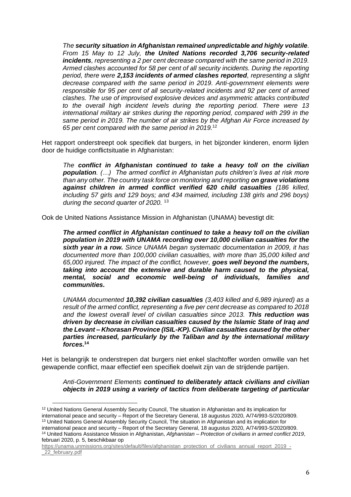*The security situation in Afghanistan remained unpredictable and highly volatile. From 15 May to 12 July, the United Nations recorded 3,706 security-related incidents, representing a 2 per cent decrease compared with the same period in 2019. Armed clashes accounted for 58 per cent of all security incidents. During the reporting period, there were 2,153 incidents of armed clashes reported, representing a slight decrease compared with the same period in 2019. Anti-government elements were responsible for 95 per cent of all security-related incidents and 92 per cent of armed clashes. The use of improvised explosive devices and asymmetric attacks contributed to the overall high incident levels during the reporting period. There were 13 international military air strikes during the reporting period, compared with 299 in the same period in 2019. The number of air strikes by the Afghan Air Force increased by 65 per cent compared with the same period in 2019.*<sup>12</sup>

Het rapport onderstreept ook specifiek dat burgers, in het bijzonder kinderen, enorm lijden door de huidige conflictsituatie in Afghanistan:

*The conflict in Afghanistan continued to take a heavy toll on the civilian population. (…) The armed conflict in Afghanistan puts children's lives at risk more than any other. The country task force on monitoring and reporting on grave violations against children in armed conflict verified 620 child casualties (186 killed, including 57 girls and 129 boys; and 434 maimed, including 138 girls and 296 boys) during the second quarter of 2020.* <sup>13</sup>

Ook de United Nations Assistance Mission in Afghanistan (UNAMA) bevestigt dit:

*The armed conflict in Afghanistan continued to take a heavy toll on the civilian population in 2019 with UNAMA recording over 10,000 civilian casualties for the sixth year in a row. Since UNAMA began systematic documentation in 2009, it has documented more than 100,000 civilian casualties, with more than 35,000 killed and 65,000 injured. The impact of the conflict, however, goes well beyond the numbers, taking into account the extensive and durable harm caused to the physical, mental, social and economic well-being of individuals, families and communities.*

*UNAMA documented 10,392 civilian casualties (3,403 killed and 6,989 injured) as a result of the armed conflict, representing a five per cent decrease as compared to 2018 and the lowest overall level of civilian casualties since 2013. This reduction was driven by decrease in civilian casualties caused by the Islamic State of Iraq and the Levant – Khorasan Province (ISIL-KP). Civilian casualties caused by the other parties increased, particularly by the Taliban and by the international military forces.***<sup>14</sup>**

Het is belangrijk te onderstrepen dat burgers niet enkel slachtoffer worden omwille van het gewapende conflict, maar effectief een specifiek doelwit zijn van de strijdende partijen.

*Anti-Government Elements continued to deliberately attack civilians and civilian objects in 2019 using a variety of tactics from deliberate targeting of particular* 

<sup>&</sup>lt;sup>12</sup> United Nations General Assembly Security Council, The situation in Afghanistan and its implication for international peace and security – Report of the Secretary General, 18 augustus 2020, A/74/993-S/2020/809.

<sup>13</sup> United Nations General Assembly Security Council, The situation in Afghanistan and its implication for international peace and security – Report of the Secretary General, 18 augustus 2020, A/74/993-S/2020/809. <sup>14</sup> United Nations Assistance Mission in Afghanistan, *Afghanistan – Protection of civilians in armed conflict 2019*,

februari 2020, p. 5, beschikbaar op

[https://unama.unmissions.org/sites/default/files/afghanistan\\_protection\\_of\\_civilians\\_annual\\_report\\_2019\\_-](https://unama.unmissions.org/sites/default/files/afghanistan_protection_of_civilians_annual_report_2019_-_22_february.pdf) [\\_22\\_february.pdf](https://unama.unmissions.org/sites/default/files/afghanistan_protection_of_civilians_annual_report_2019_-_22_february.pdf)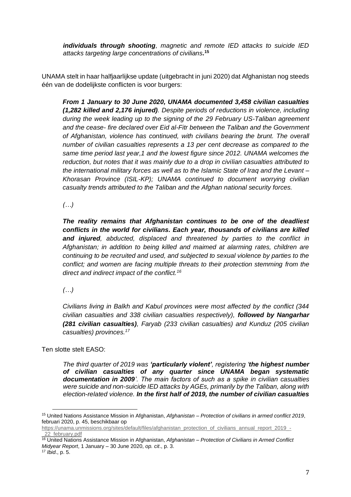*individuals through shooting, magnetic and remote IED attacks to suicide IED attacks targeting large concentrations of civilians.* **15**

UNAMA stelt in haar halfjaarlijkse update (uitgebracht in juni 2020) dat Afghanistan nog steeds één van de dodelijkste conflicten is voor burgers:

*From 1 January to 30 June 2020, UNAMA documented 3,458 civilian casualties (1,282 killed and 2,176 injured). Despite periods of reductions in violence, including during the week leading up to the signing of the 29 February US-Taliban agreement and the cease- fire declared over Eid al-Fitr between the Taliban and the Government of Afghanistan, violence has continued, with civilians bearing the brunt. The overall number of civilian casualties represents a 13 per cent decrease as compared to the same time period last year,1 and the lowest figure since 2012. UNAMA welcomes the reduction, but notes that it was mainly due to a drop in civilian casualties attributed to the international military forces as well as to the Islamic State of Iraq and the Levant – Khorasan Province (ISIL-KP); UNAMA continued to document worrying civilian casualty trends attributed to the Taliban and the Afghan national security forces.* 

*(…)*

*The reality remains that Afghanistan continues to be one of the deadliest conflicts in the world for civilians. Each year, thousands of civilians are killed and injured, abducted, displaced and threatened by parties to the conflict in Afghanistan; in addition to being killed and maimed at alarming rates, children are continuing to be recruited and used, and subjected to sexual violence by parties to the conflict; and women are facing multiple threats to their protection stemming from the direct and indirect impact of the conflict.<sup>16</sup>*

*(…)*

*Civilians living in Balkh and Kabul provinces were most affected by the conflict (344 civilian casualties and 338 civilian casualties respectively), followed by Nangarhar (281 civilian casualties), Faryab (233 civilian casualties) and Kunduz (205 civilian casualties) provinces.<sup>17</sup>*

Ten slotte stelt EASO:

*The third quarter of 2019 was 'particularly violent', registering 'the highest number of civilian casualties of any quarter since UNAMA began systematic documentation in 2009'. The main factors of such as a spike in civilian casualties were suicide and non-suicide IED attacks by AGEs, primarily by the Taliban, along with election-related violence. In the first half of 2019, the number of civilian casualties* 

<sup>15</sup> United Nations Assistance Mission in Afghanistan, *Afghanistan – Protection of civilians in armed conflict 2019*, februari 2020, p. 45, beschikbaar op

[https://unama.unmissions.org/sites/default/files/afghanistan\\_protection\\_of\\_civilians\\_annual\\_report\\_2019\\_-](https://unama.unmissions.org/sites/default/files/afghanistan_protection_of_civilians_annual_report_2019_-_22_february.pdf) [\\_22\\_february.pdf](https://unama.unmissions.org/sites/default/files/afghanistan_protection_of_civilians_annual_report_2019_-_22_february.pdf)

<sup>16</sup> United Nations Assistance Mission in Afghanistan, *Afghanistan – Protection of Civilians in Armed Conflict Midyear Report*, 1 January – 30 June 2020, *op. cit*., p. 3.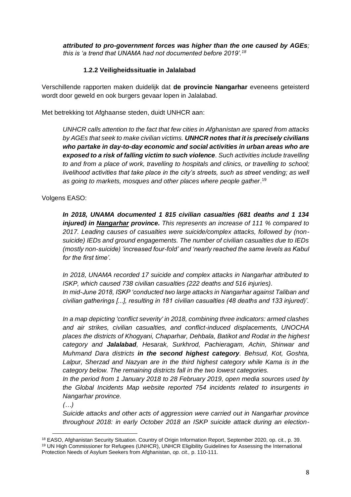*attributed to pro-government forces was higher than the one caused by AGEs; this is 'a trend that UNAMA had not documented before 2019'.<sup>18</sup>*

## **1.2.2 Veiligheidssituatie in Jalalabad**

<span id="page-7-0"></span>Verschillende rapporten maken duidelijk dat **de provincie Nangarhar** eveneens geteisterd wordt door geweld en ook burgers gevaar lopen in Jalalabad.

Met betrekking tot Afghaanse steden, duidt UNHCR aan:

*UNHCR calls attention to the fact that few cities in Afghanistan are spared from attacks by AGEs that seek to make civilian victims. UNHCR notes that it is precisely civilians who partake in day-to-day economic and social activities in urban areas who are exposed to a risk of falling victim to such violence. Such activities include travelling to and from a place of work, travelling to hospitals and clinics, or travelling to school; livelihood activities that take place in the city's streets, such as street vending; as well as going to markets, mosques and other places where people gather*. 19

Volgens EASO:

*In 2018, UNAMA documented 1 815 civilian casualties (681 deaths and 1 134 injured) in Nangarhar province. This represents an increase of 111 % compared to 2017. Leading causes of casualties were suicide/complex attacks, followed by (nonsuicide) IEDs and ground engagements. The number of civilian casualties due to IEDs (mostly non-suicide) 'increased four-fold' and 'nearly reached the same levels as Kabul for the first time'.*

*In 2018, UNAMA recorded 17 suicide and complex attacks in Nangarhar attributed to ISKP, which caused 738 civilian casualties (222 deaths and 516 injuries). In mid-June 2018, ISKP 'conducted two large attacks in Nangarhar against Taliban and civilian gatherings [...], resulting in 181 civilian casualties (48 deaths and 133 injured)'.*

*In a map depicting 'conflict severity' in 2018, combining three indicators: armed clashes and air strikes, civilian casualties, and conflict-induced displacements, UNOCHA places the districts of Khogyani, Chaparhar, Dehbala, Batikot and Rodat in the highest category and Jalalabad, Hesarak, Surkhrod, Pachieragam, Achin, Shinwar and Muhmand Dara districts in the second highest category. Behsud, Kot, Goshta, Lalpur, Sherzad and Nazyan are in the third highest category while Kama is in the category below. The remaining districts fall in the two lowest categories.*

*In the period from 1 January 2018 to 28 February 2019, open media sources used by the Global Incidents Map website reported 754 incidents related to insurgents in Nangarhar province.*

*(…)*

*Suicide attacks and other acts of aggression were carried out in Nangarhar province throughout 2018: in early October 2018 an ISKP suicide attack during an election-*

<sup>&</sup>lt;sup>18</sup> EASO, Afghanistan Security Situation. Country of Origin Information Report, September 2020, op. cit., p. 39. <sup>19</sup> UN High Commissioner for Refugees (UNHCR), UNHCR Eligibility Guidelines for Assessing the International Protection Needs of Asylum Seekers from Afghanistan, *op. cit.,* p. 110-111.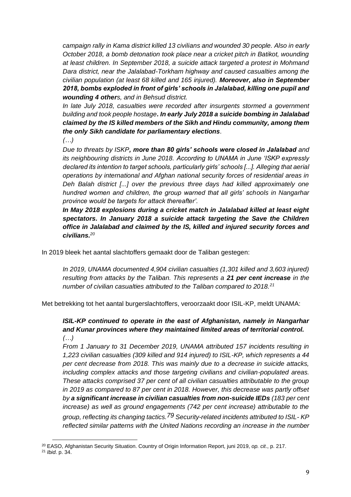*campaign rally in Kama district killed 13 civilians and wounded 30 people. Also in early October 2018, a bomb detonation took place near a cricket pitch in Batikot, wounding at least children. In September 2018, a suicide attack targeted a protest in Mohmand Dara district, near the Jalalabad-Torkham highway and caused casualties among the civilian population (at least 68 killed and 165 injured). Moreover, also in September 2018, bombs exploded in front of girls' schools in Jalalabad, killing one pupil and wounding 4 others, and in Behsud district.*

*In late July 2018, casualties were recorded after insurgents stormed a government building and took people hostage. In early July 2018 a suicide bombing in Jalalabad claimed by the IS killed members of the Sikh and Hindu community, among them the only Sikh candidate for parliamentary elections.*

*(…)*

*Due to threats by ISKP, more than 80 girls' schools were closed in Jalalabad and its neighbouring districts in June 2018. According to UNAMA in June 'ISKP expressly declared its intention to target schools, particularly girls' schools [...]. Alleging that aerial operations by international and Afghan national security forces of residential areas in Deh Balah district [...] over the previous three days had killed approximately one hundred women and children, the group warned that all girls' schools in Nangarhar province would be targets for attack thereafter'.*

*In May 2018 explosions during a cricket match in Jalalabad killed at least eight spectators. In January 2018 a suicide attack targeting the Save the Children office in Jalalabad and claimed by the IS, killed and injured security forces and civilians.<sup>20</sup>*

In 2019 bleek het aantal slachtoffers gemaakt door de Taliban gestegen:

*In 2019, UNAMA documented 4,904 civilian casualties (1,301 killed and 3,603 injured) resulting from attacks by the Taliban. This represents a 21 per cent increase in the number of civilian casualties attributed to the Taliban compared to 2018.<sup>21</sup>*

Met betrekking tot het aantal burgerslachtoffers, veroorzaakt door ISIL-KP, meldt UNAMA:

## *ISIL-KP continued to operate in the east of Afghanistan, namely in Nangarhar and Kunar provinces where they maintained limited areas of territorial control. (…)*

*From 1 January to 31 December 2019, UNAMA attributed 157 incidents resulting in 1,223 civilian casualties (309 killed and 914 injured) to ISIL-KP, which represents a 44 per cent decrease from 2018. This was mainly due to a decrease in suicide attacks, including complex attacks and those targeting civilians and civilian-populated areas. These attacks comprised 37 per cent of all civilian casualties attributable to the group in 2019 as compared to 87 per cent in 2018. However, this decrease was partly offset by a significant increase in civilian casualties from non-suicide IEDs (183 per cent increase) as well as ground engagements (742 per cent increase) attributable to the group, reflecting its changing tactics.79 Security-related incidents attributed to ISIL- KP reflected similar patterns with the United Nations recording an increase in the number* 

<sup>20</sup> EASO, Afghanistan Security Situation. Country of Origin Information Report, juni 2019, *op. cit*., p. 217.

<sup>21</sup> *Ibid*. p. 34.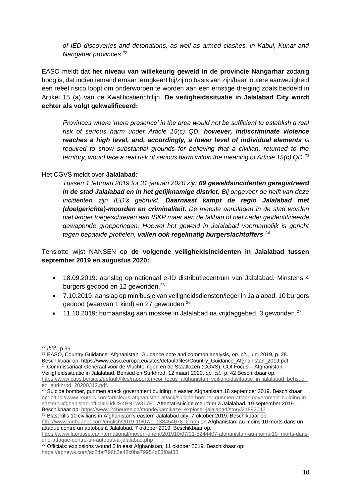*of IED discoveries and detonations, as well as armed clashes, in Kabul, Kunar and Nangahar provinces. 22*

EASO meldt dat **het niveau van willekeurig geweld in de provincie Nangarhar** zodanig hoog is, dat indien iemand ernaar terugkeert hij/zij op basis van zijn/haar loutere aanwezigheid een reëel risico loopt om onderworpen te worden aan een ernstige dreiging zoals bedoeld in Artikel 15 (a) van de Kwalificatierichtlijn. **De veiligheidssituatie in Jalalabad City wordt echter als volgt gekwalificeerd:** 

*Provinces where 'mere presence' in the area would not be sufficient to establish a real risk of serious harm under Article 15(c) QD, however, indiscriminate violence reaches a high level, and, accordingly, a lower level of individual elements is required to show substantial grounds for believing that a civilian, returned to the territory, would face a real risk of serious harm within the meaning of Article 15(c) QD.<sup>23</sup>*

#### Het CGVS meldt over **Jalalabad**:

*Tussen 1 februari 2019 tot 31 januari 2020 zijn 69 geweldsincidenten geregistreerd in de stad Jalalabad en in het gelijknamige district. Bij ongeveer de helft van deze incidenten zijn IED's gebruikt. Daarnaast kampt de regio Jalalabad met (doelgerichte)-moorden en criminaliteit. De meeste aanslagen in de stad worden niet langer toegeschreven aan ISKP maar aan de taliban of niet nader geïdentificeerde gewapende groeperingen. Hoewel het geweld in Jalalabad voornamelijk is gericht tegen bepaalde profielen, vallen ook regelmatig burgerslachtoffers. 24*

## Tenslotte wijst NANSEN op **de volgende veiligheidsincidenten in Jalalabad tussen september 2019 en augustus 2020:**

- 18.09.2019: aanslag op nationaal e-ID distributiecentrum van Jalalabad. Minstens 4 burgers gedood en 12 gewonden.<sup>25</sup>
- 7.10.2019: aanslag op minibusje van veiligheidsdiensten/leger in Jalalabad. 10 burgers gedood (waarvan 1 kind) en 27 gewonden.<sup>26</sup>
- $\bullet$  11.10.2019: bomaanslag aan moskee in Jalalabad na vrijdaggebed. 3 gewonden.<sup>27</sup>

<sup>23</sup> EASO, Country Guidance: Afghanistan. Guidance note and common analysis, *op. cit.*, juni 2019, p. 28. Beschikbaar op: https://www.easo.europa.eu/sites/default/files/Country\_Guidance\_Afghanistan\_2019.pdf <sup>24</sup> Commissariaat-Generaal voor de Vluchtelingen en de Staatlozen (CGVS), COI Focus – Afghanistan. Veiligheidssituatie in Jalalabad, Behsud en Surkhrod, 12 maart 2020, *op. cit.*, p. 42 Beschikbaar op:

Beschikbaar op: [https://www.24heures.ch/monde/kamikaze-](https://www.24heures.ch/monde/kamikaze-%20exploser-jalalabad/story/21892042) exploser-jalalabad/story/21892042 <sup>26</sup> Blast kills 10 civilians in Afghanistan's eastern Jalalabad city. 7 oktober 2019. Beschikbaar op:

[http://www.xinhuanet.com/english/2019-10/07/c\\_138454078\\_2.htm](http://www.xinhuanet.com/english/2019-10/07/c_138454078_2.htm) en Afghanistan: au moins 10 morts dans un attaque contre un autobus à Jalalabad, 7 oktober 2019. Beschikbaar op:

<sup>22</sup> *Ibid*., p.36.

https://www.cgvs.be/sites/default/files/rapporten/coi\_focus\_afghanistan\_veiligheidssituatie\_in\_jalalabad\_behsud [en\\_surkhrod\\_20200312.pdf.](https://www.cgvs.be/sites/default/files/rapporten/coi_focus_afghanistan_veiligheidssituatie_in_jalalabad_behsud_en_surkhrod_20200312.pdf)

<sup>&</sup>lt;sup>25</sup> Suicide bomber, gunmen attack government building in easter Afghanistan,18 september 2019. Beschikbaar op: [https://www.reuters.com/article/us-afghanistan-attack/suicide-bomber-gunmen-attack-government-building-in](https://www.reuters.com/article/us-afghanistan-attack/suicide-bomber-gunmen-attack-government-building-in-eastern-afghanistan-officials-idUSKBN1W317E)[eastern-afghanistan-officials-idUSKBN1W317E](https://www.reuters.com/article/us-afghanistan-attack/suicide-bomber-gunmen-attack-government-building-in-eastern-afghanistan-officials-idUSKBN1W317E); Attentat-suicide meurtrier à Jalalabad, 19 september 2019.

[https://www.lapresse.ca/international/moyen-orient/201910/07/01-5244407-afghanistan-au-moins-10-](https://www.lapresse.ca/international/moyen-orient/201910/07/01-5244407-afghanistan-au-moins-10-%20morts-dans-une-attaque-contre-un-autobus-a-jalalabad.php) morts-dans[une-attaque-contre-un-autobus-a-jalalabad.php](https://www.lapresse.ca/international/moyen-orient/201910/07/01-5244407-afghanistan-au-moins-10-%20morts-dans-une-attaque-contre-un-autobus-a-jalalabad.php)

 $27$  Officials: explosions wound 5 in east Afghanistan, 11 oktober 2019. Beschikbaar op: <https://apnews.com/ac24af796b3e48c0ba79954d83f8af35>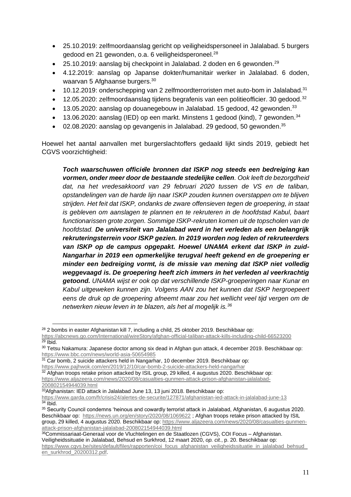- 25.10.2019: zelfmoordaanslag gericht op veiligheidspersoneel in Jalalabad. 5 burgers gedood en 21 gewonden, o.a. 6 veiligheidsperoneel.<sup>28</sup>
- 25.10.2019: aanslag bij checkpoint in Jalalabad. 2 doden en 6 gewonden.<sup>29</sup>
- 4.12.2019: aanslag op Japanse dokter/humanitair werker in Jalalabad. 6 doden, waarvan 5 Afghaanse burgers.<sup>30</sup>
- 10.12.2019: onderschepping van 2 zelfmoordterroristen met auto-bom in Jalalabad.<sup>31</sup>
- 12.05.2020: zelfmoordaanslag tijdens begrafenis van een politieofficier. 30 gedood.<sup>32</sup>
- $\bullet$  13.05.2020: aanslag op douanegebouw in Jalalabad. 15 gedood, 42 gewonden.<sup>33</sup>
- 13.06.2020: aanslag (IED) op een markt. Minstens 1 gedood (kind), 7 gewonden.<sup>34</sup>
- 02.08.2020: aanslag op gevangenis in Jalalabad. 29 gedood, 50 gewonden.<sup>35</sup>

Hoewel het aantal aanvallen met burgerslachtoffers gedaald lijkt sinds 2019, gebiedt het CGVS voorzichtigheid:

*Toch waarschuwen officiële bronnen dat ISKP nog steeds een bedreiging kan vormen, onder meer door de bestaande stedelijke cellen. Ook leeft de bezorgdheid dat, na het vredesakkoord van 29 februari 2020 tussen de VS en de taliban, opstandelingen van de harde lijn naar ISKP zouden kunnen overstappen om te blijven strijden. Het feit dat ISKP, ondanks de zware offensieven tegen de groepering, in staat is gebleven om aanslagen te plannen en te rekruteren in de hoofdstad Kabul, baart functionarissen grote zorgen. Sommige ISKP-rekruten komen uit de topscholen van de hoofdstad. De universiteit van Jalalabad werd in het verleden als een belangrijk rekruteringsterrein voor ISKP gezien. In 2019 worden nog leden of rekruteerders van ISKP op de campus opgepakt. Hoewel UNAMA erkent dat ISKP in zuid-Nangarhar in 2019 een opmerkelijke terugval heeft gekend en de groepering er minder een bedreiging vormt, is de missie van mening dat ISKP niet volledig weggevaagd is. De groepering heeft zich immers in het verleden al veerkrachtig getoond. UNAMA wijst er ook op dat verschillende ISKP-groeperingen naar Kunar en Kabul uitgeweken kunnen zijn. Volgens AAN zou het kunnen dat ISKP hergroepeert eens de druk op de groepering afneemt maar zou het wellicht veel tijd vergen om de netwerken nieuw leven in te blazen, als het al mogelijk is.<sup>36</sup>*

<sup>31</sup> Car bomb, 2 suicide attackers held in Nangarhar, 10 december 2019. Beschikbaar op:

<sup>33</sup>Afghanistan: IED attack in Jalalabad June 13, 13 juni 2018. Beschikbaar op: <https://www.garda.com/fr/crisis24/alertes-de-securite/127871/afghanistan-ied-attack-in-jalalabad-june-13>

 $28$  2 bombs in easter Afghanistan kill 7, including a child, 25 oktober 2019. Beschikbaar op: <https://abcnews.go.com/International/wireStory/afghan-official-taliban-attack-kills-including-child-66523200>

 $\overline{^{29}}$  Ibid.

<sup>&</sup>lt;sup>30</sup> Tetsu Nakamura: Japanese doctor among six dead in Afghan gun attack, 4 december 2019. Beschikbaar op: <https://www.bbc.com/news/world-asia-50654985>

<https://www.pajhwok.com/en/2019/12/10/car-bomb-2-suicide-attackers-held-nangarhar> <sup>32</sup> Afghan troops retake prison attacked by ISIL group, 29 killed, 4 augustus 2020. Beschikbaar op: [https://www.aljazeera.com/news/2020/08/casualties-gunmen-attack-prison-afghanistan-jalalabad-](https://www.aljazeera.com/news/2020/08/casualties-gunmen-attack-prison-afghanistan-jalalabad-200802154944039.html)[200802154944039.html](https://www.aljazeera.com/news/2020/08/casualties-gunmen-attack-prison-afghanistan-jalalabad-200802154944039.html)

 $34$  Ibid.

<sup>35</sup> Security Council condemns 'heinous and cowardly terrorist attack in Jalalabad, Afghanistan, 6 augustus 2020. Beschikbaar op: <https://news.un.org/en/story/2020/08/1069622>; Afghan troops retake prison attacked by ISIL group, 29 killed, 4 augustus 2020. Beschikbaar op: [https://www.aljazeera.com/news/2020/08/casualties-gunmen](https://www.aljazeera.com/news/2020/08/casualties-gunmen-attack-prison-afghanistan-jalalabad-200802154944039.html)[attack-prison-afghanistan-jalalabad-200802154944039.html](https://www.aljazeera.com/news/2020/08/casualties-gunmen-attack-prison-afghanistan-jalalabad-200802154944039.html)

<sup>&</sup>lt;sup>36</sup>Commissariaat-Generaal voor de Vluchtelingen en de Staatlozen (CGVS), COI Focus – Afghanistan. Veiligheidssituatie in Jalalabad, Behsud en Surkhrod, 12 maart 2020, *op. cit.*, p. 20. Beschikbaar op: [https://www.cgvs.be/sites/default/files/rapporten/coi\\_focus\\_afghanistan\\_veiligheidssituatie\\_in\\_jalalabad\\_behsud\\_](https://www.cgvs.be/sites/default/files/rapporten/coi_focus_afghanistan_veiligheidssituatie_in_jalalabad_behsud_en_surkhrod_20200312.pdf) [en\\_surkhrod\\_20200312.pdf.](https://www.cgvs.be/sites/default/files/rapporten/coi_focus_afghanistan_veiligheidssituatie_in_jalalabad_behsud_en_surkhrod_20200312.pdf)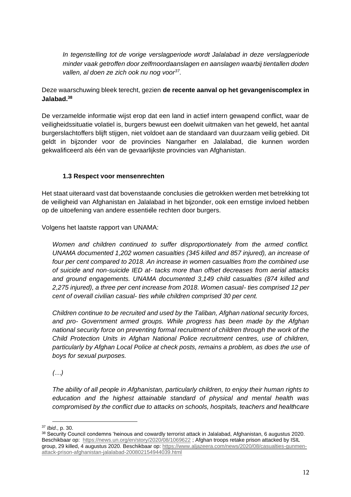*In tegenstelling tot de vorige verslagperiode wordt Jalalabad in deze verslagperiode minder vaak getroffen door zelfmoordaanslagen en aanslagen waarbij tientallen doden vallen, al doen ze zich ook nu nog voor<sup>37</sup> .*

## Deze waarschuwing bleek terecht, gezien **de recente aanval op het gevangeniscomplex in Jalabad.<sup>38</sup>**

De verzamelde informatie wijst erop dat een land in actief intern gewapend conflict, waar de veiligheidssituatie volatiel is, burgers bewust een doelwit uitmaken van het geweld, het aantal burgerslachtoffers blijft stijgen, niet voldoet aan de standaard van duurzaam veilig gebied. Dit geldt in bijzonder voor de provincies Nangarher en Jalalabad, die kunnen worden gekwalificeerd als één van de gevaarlijkste provincies van Afghanistan.

## **1.3 Respect voor mensenrechten**

<span id="page-11-0"></span>Het staat uiteraard vast dat bovenstaande conclusies die getrokken werden met betrekking tot de veiligheid van Afghanistan en Jalalabad in het bijzonder, ook een ernstige invloed hebben op de uitoefening van andere essentiële rechten door burgers.

Volgens het laatste rapport van UNAMA:

*Women and children continued to suffer disproportionately from the armed conflict. UNAMA documented 1,202 women casualties (345 killed and 857 injured), an increase of four per cent compared to 2018. An increase in women casualties from the combined use of suicide and non-suicide IED at- tacks more than offset decreases from aerial attacks and ground engagements. UNAMA documented 3,149 child casualties (874 killed and 2,275 injured), a three per cent increase from 2018. Women casual- ties comprised 12 per cent of overall civilian casual- ties while children comprised 30 per cent.* 

*Children continue to be recruited and used by the Taliban, Afghan national security forces, and pro- Government armed groups. While progress has been made by the Afghan national security force on preventing formal recruitment of children through the work of the Child Protection Units in Afghan National Police recruitment centres, use of children, particularly by Afghan Local Police at check posts, remains a problem, as does the use of boys for sexual purposes.*

*(…)*

*The ability of all people in Afghanistan, particularly children, to enjoy their human rights to education and the highest attainable standard of physical and mental health was compromised by the conflict due to attacks on schools, hospitals, teachers and healthcare* 

<sup>37</sup> *Ibid*., p. 30.

<sup>38</sup> Security Council condemns 'heinous and cowardly terrorist attack in Jalalabad, Afghanistan, 6 augustus 2020. Beschikbaar op: <https://news.un.org/en/story/2020/08/1069622> ; Afghan troops retake prison attacked by ISIL group, 29 killed, 4 augustus 2020. Beschikbaar op: [https://www.aljazeera.com/news/2020/08/casualties-gunmen](https://www.aljazeera.com/news/2020/08/casualties-gunmen-attack-prison-afghanistan-jalalabad-200802154944039.html)[attack-prison-afghanistan-jalalabad-200802154944039.html](https://www.aljazeera.com/news/2020/08/casualties-gunmen-attack-prison-afghanistan-jalalabad-200802154944039.html)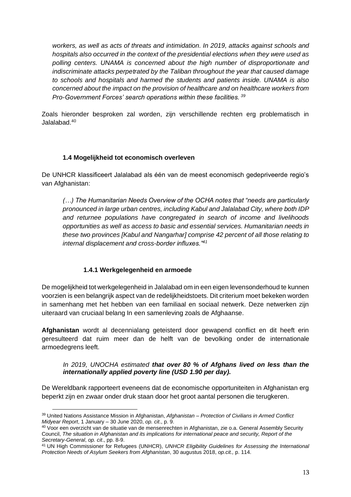*workers, as well as acts of threats and intimidation. In 2019, attacks against schools and hospitals also occurred in the context of the presidential elections when they were used as polling centers. UNAMA is concerned about the high number of disproportionate and indiscriminate attacks perpetrated by the Taliban throughout the year that caused damage to schools and hospitals and harmed the students and patients inside. UNAMA is also concerned about the impact on the provision of healthcare and on healthcare workers from Pro-Government Forces' search operations within these facilities. <sup>39</sup>*

Zoals hieronder besproken zal worden, zijn verschillende rechten erg problematisch in Jalalabad.<sup>40</sup>

## **1.4 Mogelijkheid tot economisch overleven**

<span id="page-12-0"></span>De UNHCR klassificeert Jalalabad als één van de meest economisch gedepriveerde regio's van Afghanistan:

*(…) The Humanitarian Needs Overview of the OCHA notes that "needs are particularly pronounced in large urban centres, including Kabul and Jalalabad City, where both IDP and returnee populations have congregated in search of income and livelihoods opportunities as well as access to basic and essential services. Humanitarian needs in these two provinces [Kabul and Nangarhar] comprise 42 percent of all those relating to internal displacement and cross-border influxes."<sup>41</sup>*

## **1.4.1 Werkgelegenheid en armoede**

<span id="page-12-1"></span>De mogelijkheid tot werkgelegenheid in Jalalabad om in een eigen levensonderhoud te kunnen voorzien is een belangrijk aspect van de redelijkheidstoets. Dit criterium moet bekeken worden in samenhang met het hebben van een familiaal en sociaal netwerk. Deze netwerken zijn uiteraard van cruciaal belang In een samenleving zoals de Afghaanse.

**Afghanistan** wordt al decennialang geteisterd door gewapend conflict en dit heeft erin geresulteerd dat ruim meer dan de helft van de bevolking onder de internationale armoedegrens leeft.

#### *In 2019, UNOCHA estimated that over 80 % of Afghans lived on less than the internationally applied poverty line (USD 1.90 per day).*

De Wereldbank rapporteert eveneens dat de economische opportuniteiten in Afghanistan erg beperkt zijn en zwaar onder druk staan door het groot aantal personen die terugkeren.

<sup>39</sup> United Nations Assistance Mission in Afghanistan, *Afghanistan – Protection of Civilians in Armed Conflict Midyear Report*, 1 January – 30 June 2020, *op. cit*., p. 9.

<sup>&</sup>lt;sup>40</sup> Voor een overzicht van de situatie van de mensenrechten in Afghanistan, zie o.a. General Assembly Security Council, *The situation in Afghanistan and its implications for international peace and security, Report of the Secretary-General*, *op. cit*., pp. 8-9.

<sup>41</sup> UN High Commissioner for Refugees (UNHCR), *UNHCR Eligibility Guidelines for Assessing the International Protection Needs of Asylum Seekers from Afghanistan*, 30 augustus 2018, *op.cit.,* p. 114.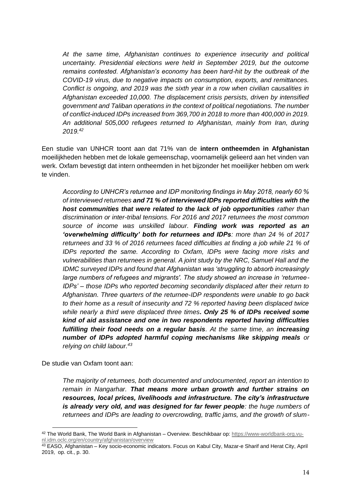*At the same time, Afghanistan continues to experience insecurity and political uncertainty. Presidential elections were held in September 2019, but the outcome remains contested. Afghanistan's economy has been hard-hit by the outbreak of the COVID-19 virus, due to negative impacts on consumption, exports, and remittances. Conflict is ongoing, and 2019 was the sixth year in a row when civilian causalities in Afghanistan exceeded 10,000. The displacement crisis persists, driven by intensified government and Taliban operations in the context of political negotiations. The number of conflict-induced IDPs increased from 369,700 in 2018 to more than 400,000 in 2019. An additional 505,000 refugees returned to Afghanistan, mainly from Iran, during 2019.<sup>42</sup>*

Een studie van UNHCR toont aan dat 71% van de **intern ontheemden in Afghanistan**  moeilijkheden hebben met de lokale gemeenschap, voornamelijk gelieerd aan het vinden van werk. Oxfam bevestigt dat intern ontheemden in het bijzonder het moeilijker hebben om werk te vinden.

*According to UNHCR's returnee and IDP monitoring findings in May 2018, nearly 60 % of interviewed returnees and 71 % of interviewed IDPs reported difficulties with the host communities that were related to the lack of job opportunities rather than discrimination or inter-tribal tensions. For 2016 and 2017 returnees the most common source of income was unskilled labour. Finding work was reported as an 'overwhelming difficulty' both for returnees and IDPs: more than 24 % of 2017 returnees and 33 % of 2016 returnees faced difficulties at finding a job while 21 % of IDPs reported the same. According to Oxfam, IDPs were facing more risks and vulnerabilities than returnees in general. A joint study by the NRC, Samuel Hall and the IDMC surveyed IDPs and found that Afghanistan was 'struggling to absorb increasingly large numbers of refugees and migrants'. The study showed an increase in 'returnee-IDPs' – those IDPs who reported becoming secondarily displaced after their return to Afghanistan. Three quarters of the returnee-IDP respondents were unable to go back to their home as a result of insecurity and 72 % reported having been displaced twice while nearly a third were displaced three times. Only 25 % of IDPs received some kind of aid assistance and one in two respondents reported having difficulties fulfilling their food needs on a regular basis. At the same time, an increasing number of IDPs adopted harmful coping mechanisms like skipping meals or relying on child labour.<sup>43</sup>*

De studie van Oxfam toont aan:

*The majority of returnees, both documented and undocumented, report an intention to remain in Nangarhar. That means more urban growth and further strains on resources, local prices, livelihoods and infrastructure. The city's infrastructure is already very old, and was designed for far fewer people: the huge numbers of returnees and IDPs are leading to overcrowding, traffic jams, and the growth of slum-*

<sup>42</sup> The World Bank, The World Bank in Afghanistan – Overview. Beschikbaar op: [https://www-worldbank-org.vu](https://www-worldbank-org.vu-nl.idm.oclc.org/en/country/afghanistan/overview)[nl.idm.oclc.org/en/country/afghanistan/overview](https://www-worldbank-org.vu-nl.idm.oclc.org/en/country/afghanistan/overview)

<sup>43</sup> EASO, Afghanistan – Key socio-economic indicators. Focus on Kabul City, Mazar-e Sharif and Herat City, April 2019, op. cit., p. 30.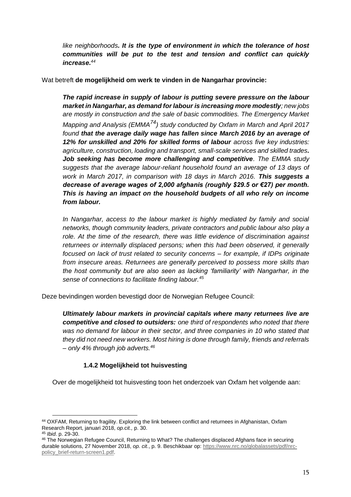*like neighborhoods. It is the type of environment in which the tolerance of host communities will be put to the test and tension and conflict can quickly increase.<sup>44</sup>*

Wat betreft **de mogelijkheid om werk te vinden in de Nangarhar provincie:**

*The rapid increase in supply of labour is putting severe pressure on the labour market in Nangarhar, as demand for labour is increasing more modestly; new jobs are mostly in construction and the sale of basic commodities. The Emergency Market Mapping and Analysis (EMMA74) study conducted by Oxfam in March and April 2017 found that the average daily wage has fallen since March 2016 by an average of 12% for unskilled and 20% for skilled forms of labour across five key industries: agriculture, construction, loading and transport, small-scale services and skilled trades. Job seeking has become more challenging and competitive. The EMMA study suggests that the average labour-reliant household found an average of 13 days of work in March 2017, in comparison with 18 days in March 2016. This suggests a decrease of average wages of 2,000 afghanis (roughly \$29.5 or €27) per month. This is having an impact on the household budgets of all who rely on income from labour.* 

*In Nangarhar, access to the labour market is highly mediated by family and social networks, though community leaders, private contractors and public labour also play a role. At the time of the research, there was little evidence of discrimination against returnees or internally displaced persons; when this had been observed, it generally focused on lack of trust related to security concerns – for example, if IDPs originate from insecure areas. Returnees are generally perceived to possess more skills than the host community but are also seen as lacking 'familiarity' with Nangarhar, in the sense of connections to facilitate finding labour.<sup>45</sup>*

Deze bevindingen worden bevestigd door de Norwegian Refugee Council:

*Ultimately labour markets in provincial capitals where many returnees live are competitive and closed to outsiders: one third of respondents who noted that there*  was no demand for labour in their sector, and three companies in 10 who stated that *they did not need new workers. Most hiring is done through family, friends and referrals – only 4% through job adverts.<sup>46</sup>*

## **1.4.2 Mogelijkheid tot huisvesting**

<span id="page-14-0"></span>Over de mogelijkheid tot huisvesting toon het onderzoek van Oxfam het volgende aan:

<sup>44</sup> OXFAM, Returning to fragility. Exploring the link between conflict and returnees in Afghanistan, Oxfam Research Report, januari 2018, *op.cit.,* p. 30.

<sup>45</sup> *Ibid*. p. 29-30.

<sup>&</sup>lt;sup>46</sup> The Norwegian Refugee Council, Returning to What? The challenges displaced Afghans face in securing durable solutions, 27 November 2018, *op. cit.*, p. 9. Beschikbaar op: [https://www.nrc.no/globalassets/pdf/nrc](https://www.nrc.no/globalassets/pdf/nrc-policy_brief-return-screen1.pdf)[policy\\_brief-return-screen1.pdf.](https://www.nrc.no/globalassets/pdf/nrc-policy_brief-return-screen1.pdf)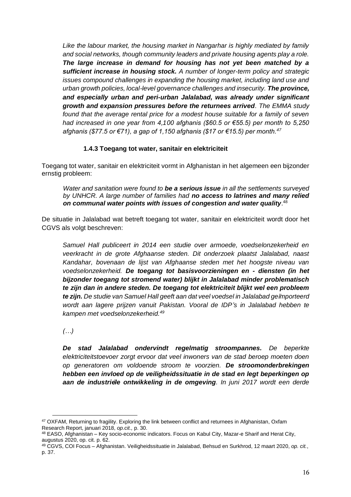*Like the labour market, the housing market in Nangarhar is highly mediated by family and social networks, though community leaders and private housing agents play a role. The large increase in demand for housing has not yet been matched by a sufficient increase in housing stock. A number of longer-term policy and strategic issues compound challenges in expanding the housing market, including land use and urban growth policies, local-level governance challenges and insecurity. The province, and especially urban and peri-urban Jalalabad, was already under significant growth and expansion pressures before the returnees arrived. The EMMA study found that the average rental price for a modest house suitable for a family of seven had increased in one year from 4,100 afghanis (\$60.5 or €55.5) per month to 5,250 afghanis (\$77.5 or €71), a gap of 1,150 afghanis (\$17 or €15.5) per month.<sup>47</sup>*

## **1.4.3 Toegang tot water, sanitair en elektriciteit**

<span id="page-15-0"></span>Toegang tot water, sanitair en elektriciteit vormt in Afghanistan in het algemeen een bijzonder ernstig probleem:

*Water and sanitation were found to be a serious issue in all the settlements surveyed by UNHCR. A large number of families had no access to latrines and many relied on communal water points with issues of congestion and water quality*. 48

De situatie in Jalalabad wat betreft toegang tot water, sanitair en elektriciteit wordt door het CGVS als volgt beschreven:

*Samuel Hall publiceert in 2014 een studie over armoede, voedselonzekerheid en veerkracht in de grote Afghaanse steden. Dit onderzoek plaatst Jalalabad, naast Kandahar, bovenaan de lijst van Afghaanse steden met het hoogste niveau van voedselonzekerheid. De toegang tot basisvoorzieningen en - diensten (in het bijzonder toegang tot stromend water) blijkt in Jalalabad minder problematisch te zijn dan in andere steden. De toegang tot elektriciteit blijkt wel een probleem te zijn. De studie van Samuel Hall geeft aan dat veel voedsel in Jalalabad geïmporteerd wordt aan lagere prijzen vanuit Pakistan. Vooral de IDP's in Jalalabad hebben te kampen met voedselonzekerheid.<sup>49</sup>*

*(…)*

*De stad Jalalabad ondervindt regelmatig stroompannes. De beperkte elektriciteitstoevoer zorgt ervoor dat veel inwoners van de stad beroep moeten doen op generatoren om voldoende stroom te voorzien. De stroomonderbrekingen hebben een invloed op de veiligheidssituatie in de stad en legt beperkingen op aan de industriële ontwikkeling in de omgeving. In juni 2017 wordt een derde* 

<sup>47</sup> OXFAM, Returning to fragility. Exploring the link between conflict and returnees in Afghanistan, Oxfam Research Report, januari 2018, *op.cit.,* p. 30.

<sup>48</sup> EASO, Afghanistan – Key socio-economic indicators. Focus on Kabul City, Mazar-e Sharif and Herat City, augustus 2020, op. cit. p. 62.

<sup>49</sup> CGVS, COI Focus – Afghanistan. Veiligheidssituatie in Jalalabad, Behsud en Surkhrod, 12 maart 2020, *op. cit.*, p. 37.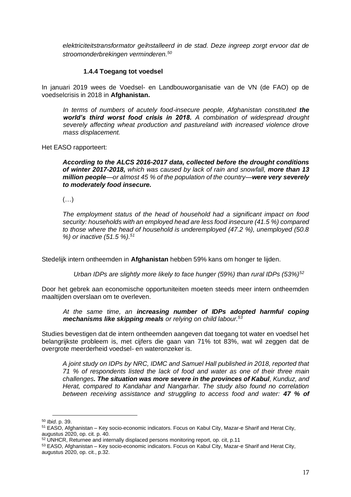*elektriciteitstransformator geïnstalleerd in de stad. Deze ingreep zorgt ervoor dat de stroomonderbrekingen verminderen.<sup>50</sup>*

## **1.4.4 Toegang tot voedsel**

<span id="page-16-0"></span>In januari 2019 wees de Voedsel- en Landbouworganisatie van de VN (de FAO) op de voedselcrisis in 2018 in **Afghanistan.**

In terms of numbers of acutely food-insecure people, Afghanistan constituted the *world's third worst food crisis in 2018. A combination of widespread drought severely affecting wheat production and pastureland with increased violence drove mass displacement.*

Het EASO rapporteert:

*According to the ALCS 2016-2017 data, collected before the drought conditions of winter 2017-2018, which was caused by lack of rain and snowfall, more than 13 million people—or almost 45 % of the population of the country—were very severely to moderately food insecure.*

 $(\ldots)$ 

*The employment status of the head of household had a significant impact on food security: households with an employed head are less food insecure (41.5 %) compared to those where the head of household is underemployed (47.2 %), unemployed (50.8 %) or inactive (51.5 %).<sup>51</sup>*

Stedelijk intern ontheemden in **Afghanistan** hebben 59% kans om honger te lijden.

*Urban IDPs are slightly more likely to face hunger (59%) than rural IDPs (53%)<sup>52</sup>*

Door het gebrek aan economische opportuniteiten moeten steeds meer intern ontheemden maaltijden overslaan om te overleven.

*At the same time, an increasing number of IDPs adopted harmful coping mechanisms like skipping meals or relying on child labour.<sup>53</sup>*

Studies bevestigen dat de intern ontheemden aangeven dat toegang tot water en voedsel het belangrijkste probleem is, met cijfers die gaan van 71% tot 83%, wat wil zeggen dat de overgrote meerderheid voedsel- en wateronzeker is.

*A joint study on IDPs by NRC, IDMC and Samuel Hall published in 2018, reported that 71 % of respondents listed the lack of food and water as one of their three main challenges. The situation was more severe in the provinces of Kabul, Kunduz, and Herat, compared to Kandahar and Nangarhar. The study also found no correlation between receiving assistance and struggling to access food and water: 47 % of* 

<sup>50</sup> *Ibid*. p. 39.

<sup>51</sup> EASO, Afghanistan – Key socio-economic indicators. Focus on Kabul City, Mazar-e Sharif and Herat City, augustus 2020, op. cit. p. 40.

<sup>52</sup> UNHCR, Returnee and internally displaced persons monitoring report, op. cit, p.11

<sup>53</sup> EASO, Afghanistan – Key socio-economic indicators. Focus on Kabul City, Mazar-e Sharif and Herat City, augustus 2020, op. cit., p.32.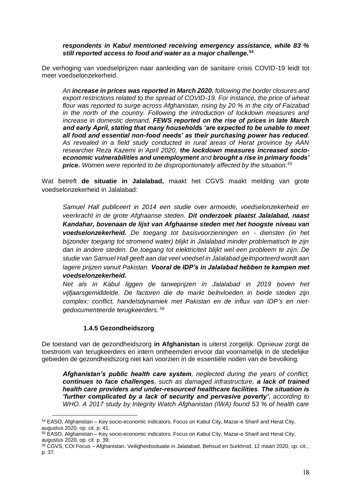*respondents in Kabul mentioned receiving emergency assistance, while 83 % still reported access to food and water as a major challenge.***<sup>54</sup>**

De verhoging van voedselprijzen naar aanleiding van de sanitaire crisis COVID-19 leidt tot meer voedselonzekerheid.

*An increase in prices was reported in March 2020, following the border closures and export restrictions related to the spread of COVID-19. For instance, the price of wheat flour was reported to surge across Afghanistan, rising by 20 % in the city of Faizabad in the north of the country. Following the introduction of lockdown measures and increase in domestic demand, FEWS reported on the rise of prices in late March and early April, stating that many households 'are expected to be unable to meet all food and essential non-food needs' as their purchasing power has reduced. As revealed in a field study conducted in rural areas of Herat province by AAN researcher Reza Kazemi in April 2020, the lockdown measures increased socioeconomic vulnerabilities and unemployment and brought a rise in primary foods' price. Women were reported to be disproportionately affected by the situation.<sup>55</sup>*

Wat betreft **de situatie in Jalalabad,** maakt het CGVS maakt melding van grote voedselonzekerheid in Jalalabad:

*Samuel Hall publiceert in 2014 een studie over armoede, voedselonzekerheid en veerkracht in de grote Afghaanse steden. Dit onderzoek plaatst Jalalabad, naast Kandahar, bovenaan de lijst van Afghaanse steden met het hoogste niveau van voedselonzekerheid. De toegang tot basisvoorzieningen en - diensten (in het bijzonder toegang tot stromend water) blijkt in Jalalabad minder problematisch te zijn dan in andere steden. De toegang tot elektriciteit blijkt wel een probleem te zijn. De studie van Samuel Hall geeft aan dat veel voedsel in Jalalabad geïmporteerd wordt aan lagere prijzen vanuit Pakistan. Vooral de IDP's in Jalalabad hebben te kampen met voedselonzekerheid.*

*Net als in Kabul liggen de tarweprijzen in Jalalabad in 2019 boven het vijfjaarsgemiddelde. De factoren die de markt beïnvloeden in beide steden zijn complex: conflict, handelsdynamiek met Pakistan en de influx van IDP's en nietgedocumenteerde terugkeerders. <sup>56</sup>*

#### **1.4.5 Gezondheidszorg**

<span id="page-17-0"></span>De toestand van de gezondheidszorg **in Afghanistan** is uiterst zorgelijk. Opnieuw zorgt de toestroom van terugkeerders en intern ontheemden ervoor dat voornamelijk in de stedelijke gebieden de gezondheidszorg niet kan voorzien in de essentiële noden van de bevolking.

*Afghanistan's public health care system, neglected during the years of conflict, continues to face challenges, such as damaged infrastructure, a lack of trained health care providers and under-resourced healthcare facilities. The situation is 'further complicated by a lack of security and pervasive poverty', according to WHO. A 2017 study by Integrity Watch Afghanistan (IWA) found 53 % of health care* 

<sup>54</sup> EASO, Afghanistan – Key socio-economic indicators. Focus on Kabul City, Mazar-e Sharif and Herat City, augustus 2020, op. cit. p. 41.

<sup>55</sup> EASO, Afghanistan – Key socio-economic indicators. Focus on Kabul City, Mazar-e Sharif and Herat City, augustus 2020, op. cit. p. 39.

<sup>56</sup> CGVS, COI Focus – Afghanistan. Veiligheidssituatie in Jalalabad, Behsud en Surkhrod, 12 maart 2020, *op. cit.*, p. 37.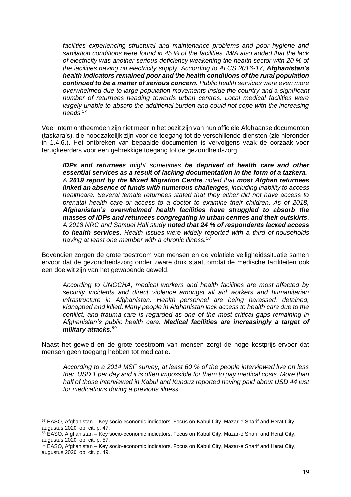*facilities experiencing structural and maintenance problems and poor hygiene and sanitation conditions were found in 45 % of the facilities. IWA also added that the lack of electricity was another serious deficiency weakening the health sector with 20 % of the facilities having no electricity supply. According to ALCS 2016-17, Afghanistan's health indicators remained poor and the health conditions of the rural population continued to be a matter of serious concern. Public health services were even more overwhelmed due to large population movements inside the country and a significant number of returnees heading towards urban centres. Local medical facilities were*  largely unable to absorb the additional burden and could not cope with the increasing *needs.<sup>57</sup>*

Veel intern ontheemden zijn niet meer in het bezit zijn van hun officiële Afghaanse documenten (taskara's), die noodzakelijk zijn voor de toegang tot de verschillende diensten (zie hieronder in 1.4.6.). Het ontbreken van bepaalde documenten is vervolgens vaak de oorzaak voor terugkeerders voor een gebrekkige toegang tot de gezondheidszorg.

*IDPs and returnees might sometimes be deprived of health care and other essential services as a result of lacking documentation in the form of a tazkera. A 2019 report by the Mixed Migration Centre noted that most Afghan returnees linked an absence of funds with numerous challenges, including inability to access healthcare. Several female returnees stated that they either did not have access to prenatal health care or access to a doctor to examine their children. As of 2018, Afghanistan's overwhelmed health facilities have struggled to absorb the masses of IDPs and returnees congregating in urban centres and their outskirts. A 2018 NRC and Samuel Hall study noted that 24 % of respondents lacked access to health services. Health issues were widely reported with a third of households having at least one member with a chronic illness.<sup>58</sup>*

Bovendien zorgen de grote toestroom van mensen en de volatiele veiligheidssituatie samen ervoor dat de gezondheidszorg onder zware druk staat, omdat de medische faciliteiten ook een doelwit zijn van het gewapende geweld.

*According to UNOCHA, medical workers and health facilities are most affected by security incidents and direct violence amongst all aid workers and humanitarian infrastructure in Afghanistan. Health personnel are being harassed, detained, kidnapped and killed. Many people in Afghanistan lack access to health care due to the*  conflict, and trauma-care is regarded as one of the most critical gaps remaining in *Afghanistan's public health care. Medical facilities are increasingly a target of military attacks.<sup>59</sup>*

Naast het geweld en de grote toestroom van mensen zorgt de hoge kostprijs ervoor dat mensen geen toegang hebben tot medicatie.

*According to a 2014 MSF survey, at least 60 % of the people interviewed live on less than USD 1 per day and it is often impossible for them to pay medical costs. More than half of those interviewed in Kabul and Kunduz reported having paid about USD 44 just for medications during a previous illness.*

<sup>57</sup> EASO, Afghanistan – Key socio-economic indicators. Focus on Kabul City, Mazar-e Sharif and Herat City, augustus 2020, op. cit. p. 47.

<sup>58</sup> EASO, Afghanistan – Key socio-economic indicators. Focus on Kabul City, Mazar-e Sharif and Herat City, augustus 2020, op. cit. p. 57.

<sup>&</sup>lt;sup>59</sup> EASO, Afghanistan – Key socio-economic indicators. Focus on Kabul City, Mazar-e Sharif and Herat City, augustus 2020, op. cit. p. 49.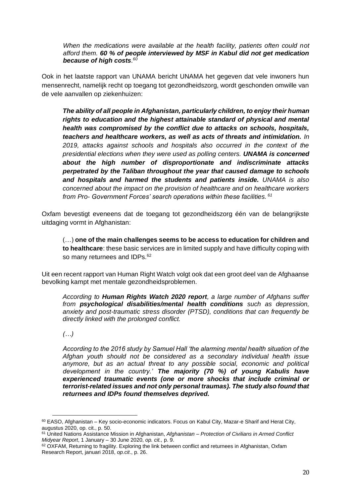*When the medications were available at the health facility, patients often could not afford them. 60 % of people interviewed by MSF in Kabul did not get medication because of high costs. 60*

Ook in het laatste rapport van UNAMA bericht UNAMA het gegeven dat vele inwoners hun mensenrecht, namelijk recht op toegang tot gezondheidszorg, wordt geschonden omwille van de vele aanvallen op ziekenhuizen:

*The ability of all people in Afghanistan, particularly children, to enjoy their human rights to education and the highest attainable standard of physical and mental health was compromised by the conflict due to attacks on schools, hospitals, teachers and healthcare workers, as well as acts of threats and intimidation. In 2019, attacks against schools and hospitals also occurred in the context of the presidential elections when they were used as polling centers. UNAMA is concerned about the high number of disproportionate and indiscriminate attacks perpetrated by the Taliban throughout the year that caused damage to schools and hospitals and harmed the students and patients inside. UNAMA is also concerned about the impact on the provision of healthcare and on healthcare workers from Pro- Government Forces' search operations within these facilities. <sup>61</sup>*

Oxfam bevestigt eveneens dat de toegang tot gezondheidszorg één van de belangrijkste uitdaging vormt in Afghanistan:

(…) **one of the main challenges seems to be access to education for children and to healthcare**: these basic services are in limited supply and have difficulty coping with so many returnees and IDPs.<sup>62</sup>

Uit een recent rapport van Human Right Watch volgt ook dat een groot deel van de Afghaanse bevolking kampt met mentale gezondheidsproblemen.

*According to Human Rights Watch 2020 report, a large number of Afghans suffer from psychological disabilities/mental health conditions such as depression, anxiety and post-traumatic stress disorder (PTSD), conditions that can frequently be directly linked with the prolonged conflict.*

*(…)*

*According to the 2016 study by Samuel Hall 'the alarming mental health situation of the Afghan youth should not be considered as a secondary individual health issue anymore, but as an actual threat to any possible social, economic and political development in the country.' The majority (70 %) of young Kabulis have experienced traumatic events (one or more shocks that include criminal or terrorist-related issues and not only personal traumas). The study also found that returnees and IDPs found themselves deprived.*

 $60$  EASO, Afghanistan – Key socio-economic indicators. Focus on Kabul City, Mazar-e Sharif and Herat City, augustus 2020, op. cit., p. 50.

<sup>61</sup> United Nations Assistance Mission in Afghanistan, *Afghanistan – Protection of Civilians in Armed Conflict Midyear Report*, 1 January – 30 June 2020, *op. cit.,* p. 9.

<sup>62</sup> OXFAM, Returning to fragility. Exploring the link between conflict and returnees in Afghanistan, Oxfam Research Report, januari 2018, *op.cit*., p. 26.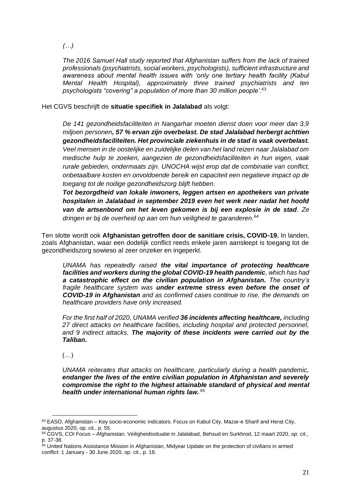*(…)*

*The 2016 Samuel Hall study reported that Afghanistan suffers from the lack of trained professionals (psychiatrists, social workers, psychologists), sufficient infrastructure and awareness about mental health issues with 'only one tertiary health facility (Kabul Mental Health Hospital), approximately three trained psychiatrists and ten psychologists "covering" a population of more than 30 million people'.<sup>63</sup>*

Het CGVS beschrijft de **situatie specifiek in Jalalabad** als volgt:

*De 141 gezondheidsfaciliteiten in Nangarhar moeten dienst doen voor meer dan 3,9 miljoen personen, 57 % ervan zijn overbelast. De stad Jalalabad herbergt achttien gezondheidsfaciliteiten. Het provinciale ziekenhuis in de stad is vaak overbelast. Veel mensen in de oostelijke en zuidelijke delen van het land reizen naar Jalalabad om medische hulp te zoeken, aangezien de gezondheidsfaciliteiten in hun eigen, vaak rurale gebieden, ondermaats zijn. UNOCHA wijst erop dat de combinatie van conflict, onbetaalbare kosten en onvoldoende bereik en capaciteit een negatieve impact op de toegang tot de nodige gezondheidszorg blijft hebben.*

*Tot bezorgdheid van lokale inwoners, leggen artsen en apothekers van private hospitalen in Jalalabad in september 2019 even het werk neer nadat het hoofd van de artsenbond om het leven gekomen is bij een explosie in de stad. Ze dringen er bij de overheid op aan om hun veiligheid te garanderen.<sup>64</sup>*

Ten slotte wordt ook **Afghanistan getroffen door de sanitiare crisis, COVID-19.** In landen, zoals Afghanistan, waar een dodelijk conflict reeds enkele jaren aansleept is toegang tot de gezondheidszorg sowieso al zeer onzeker en ingeperkt.

*UNAMA has repeatedly raised the vital importance of protecting healthcare facilities and workers during the global COVID-19 health pandemic, which has had a catastrophic effect on the civilian population in Afghanistan. The country's fragile healthcare system was under extreme stress even before the onset of COVID-19 in Afghanistan and as confirmed cases continue to rise, the demands on healthcare providers have only increased.*

*For the first half of 2020, UNAMA verified 36 incidents affecting healthcare, including 27 direct attacks on healthcare facilities, including hospital and protected personnel, and 9 indirect attacks. The majority of these incidents were carried out by the Taliban.*

 $(\ldots)$ 

*UNAMA reiterates that attacks on healthcare, particularly during a health pandemic, endanger the lives of the entire civilian population in Afghanistan and severely compromise the right to the highest attainable standard of physical and mental health under international human rights law.* <sup>65</sup>

 $63$  EASO, Afghanistan – Key socio-economic indicators. Focus on Kabul City, Mazar-e Sharif and Herat City, augustus 2020, op. cit., p. 55.

<sup>64</sup> CGVS, COI Focus – Afghanistan. Veiligheidssituatie in Jalalabad, Behsud en Surkhrod, 12 maart 2020, *op. cit.*, p. 37-38.

<sup>65</sup> United Nations Assistance Mission in Afghanistan, Midyear Update on the protection of civilians in armed conflict: 1 January - 30 June 2020, op. cit., p. 18.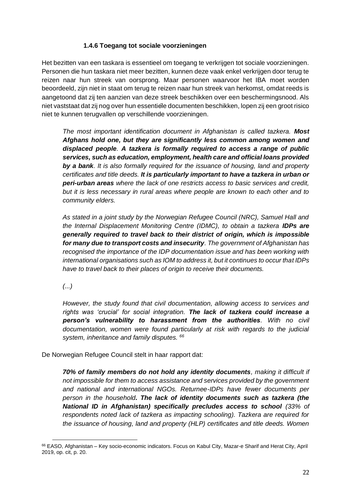## **1.4.6 Toegang tot sociale voorzieningen**

<span id="page-21-0"></span>Het bezitten van een taskara is essentieel om toegang te verkrijgen tot sociale voorzieningen. Personen die hun taskara niet meer bezitten, kunnen deze vaak enkel verkrijgen door terug te reizen naar hun streek van oorsprong. Maar personen waarvoor het IBA moet worden beoordeeld, zijn niet in staat om terug te reizen naar hun streek van herkomst, omdat reeds is aangetoond dat zij ten aanzien van deze streek beschikken over een beschermingsnood. Als niet vaststaat dat zij nog over hun essentiële documenten beschikken, lopen zij een groot risico niet te kunnen terugvallen op verschillende voorzieningen.

*The most important identification document in Afghanistan is called tazkera. Most Afghans hold one, but they are significantly less common among women and displaced people. A tazkera is formally required to access a range of public services, such as education, employment, health care and official loans provided by a bank. It is also formally required for the issuance of housing, land and property certificates and title deeds. It is particularly important to have a tazkera in urban or peri-urban areas where the lack of one restricts access to basic services and credit, but it is less necessary in rural areas where people are known to each other and to community elders.* 

*As stated in a joint study by the Norwegian Refugee Council (NRC), Samuel Hall and the Internal Displacement Monitoring Centre (IDMC), to obtain a tazkera IDPs are generally required to travel back to their district of origin, which is impossible for many due to transport costs and insecurity. The government of Afghanistan has recognised the importance of the IDP documentation issue and has been working with international organisations such as IOM to address it, but it continues to occur that IDPs have to travel back to their places of origin to receive their documents.* 

*(...)* 

*However, the study found that civil documentation, allowing access to services and rights was 'crucial' for social integration. The lack of tazkera could increase a person's vulnerability to harassment from the authorities. With no civil documentation, women were found particularly at risk with regards to the judicial system, inheritance and family disputes. <sup>66</sup>*

De Norwegian Refugee Council stelt in haar rapport dat:

*70% of family members do not hold any identity documents, making it difficult if not impossible for them to access assistance and services provided by the government and national and international NGOs. Returnee-IDPs have fewer documents per person in the household. The lack of identity documents such as tazkera (the National ID in Afghanistan) specifically precludes access to school (33% of respondents noted lack of tazkera as impacting schooling). Tazkera are required for the issuance of housing, land and property (HLP) certificates and title deeds. Women* 

<sup>66</sup> EASO, Afghanistan - Key socio-economic indicators. Focus on Kabul City, Mazar-e Sharif and Herat City, April 2019, op. cit, p. 20.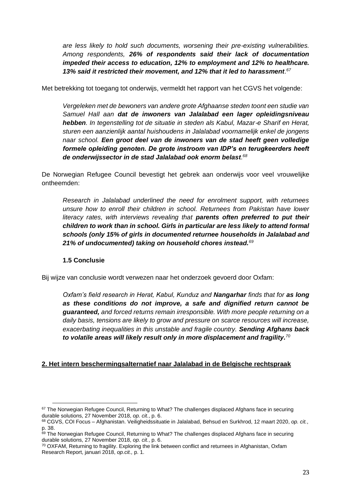*are less likely to hold such documents, worsening their pre-existing vulnerabilities. Among respondents, 26% of respondents said their lack of documentation impeded their access to education, 12% to employment and 12% to healthcare. 13% said it restricted their movement, and 12% that it led to harassment. 67*

Met betrekking tot toegang tot onderwijs, vermeldt het rapport van het CGVS het volgende:

*Vergeleken met de bewoners van andere grote Afghaanse steden toont een studie van Samuel Hall aan dat de inwoners van Jalalabad een lager opleidingsniveau hebben. In tegenstelling tot de situatie in steden als Kabul, Mazar-e Sharif en Herat, sturen een aanzienlijk aantal huishoudens in Jalalabad voornamelijk enkel de jongens naar school. Een groot deel van de inwoners van de stad heeft geen volledige formele opleiding genoten. De grote instroom van IDP's en terugkeerders heeft de onderwijssector in de stad Jalalabad ook enorm belast. 68*

De Norwegian Refugee Council bevestigt het gebrek aan onderwijs voor veel vrouwelijke ontheemden:

*Research in Jalalabad underlined the need for enrolment support, with returnees unsure how to enroll their children in school. Returnees from Pakistan have lower literacy rates, with interviews revealing that parents often preferred to put their children to work than in school. Girls in particular are less likely to attend formal schools (only 15% of girls in documented returnee households in Jalalabad and 21% of undocumented) taking on household chores instead.<sup>69</sup>*

## **1.5 Conclusie**

<span id="page-22-0"></span>Bij wijze van conclusie wordt verwezen naar het onderzoek gevoerd door Oxfam:

*Oxfam's field research in Herat, Kabul, Kunduz and Nangarhar finds that for as long as these conditions do not improve, a safe and dignified return cannot be guaranteed, and forced returns remain irresponsible. With more people returning on a daily basis, tensions are likely to grow and pressure on scarce resources will increase, exacerbating inequalities in this unstable and fragile country. Sending Afghans back to volatile areas will likely result only in more displacement and fragility.<sup>70</sup>*

## <span id="page-22-1"></span>**2. Het intern beschermingsalternatief naar Jalalabad in de Belgische rechtspraak**

<sup>67</sup> The Norwegian Refugee Council, Returning to What? The challenges displaced Afghans face in securing durable solutions, 27 November 2018, *op. cit.*, p. 6.

<sup>68</sup> CGVS, COI Focus – Afghanistan. Veiligheidssituatie in Jalalabad, Behsud en Surkhrod, 12 maart 2020, *op. cit.*, p. 38.

<sup>69</sup> The Norwegian Refugee Council, Returning to What? The challenges displaced Afghans face in securing durable solutions, 27 November 2018, *op. cit.*, p. 6.

<sup>70</sup> OXFAM, Returning to fragility. Exploring the link between conflict and returnees in Afghanistan, Oxfam Research Report, januari 2018, *op.cit.,* p. 1.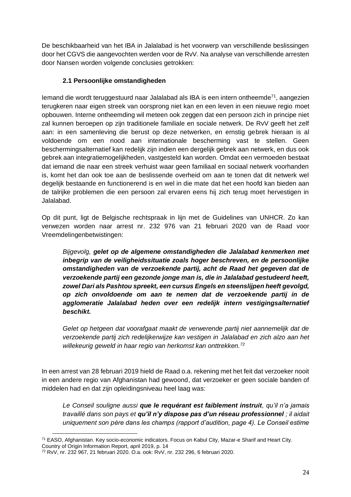De beschikbaarheid van het IBA in Jalalabad is het voorwerp van verschillende beslissingen door het CGVS die aangevochten werden voor de RvV. Na analyse van verschillende arresten door Nansen worden volgende conclusies getrokken:

# **2.1 Persoonlijke omstandigheden**

<span id="page-23-0"></span>Iemand die wordt teruggestuurd naar Jalalabad als IBA is een intern ontheemde<sup>71</sup>, aangezien terugkeren naar eigen streek van oorsprong niet kan en een leven in een nieuwe regio moet opbouwen. Interne ontheemding wil meteen ook zeggen dat een persoon zich in principe niet zal kunnen beroepen op zijn traditionele familiale en sociale netwerk. De RvV geeft het zelf aan: in een samenleving die berust op deze netwerken, en ernstig gebrek hieraan is al voldoende om een nood aan internationale bescherming vast te stellen. Geen beschermingsalternatief kan redelijk zijn indien een dergelijk gebrek aan netwerk, en dus ook gebrek aan integratiemogelijkheden, vastgesteld kan worden. Omdat een vermoeden bestaat dat iemand die naar een streek verhuist waar geen familiaal en sociaal netwerk voorhanden is, komt het dan ook toe aan de beslissende overheid om aan te tonen dat dit netwerk wel degelijk bestaande en functionerend is en wel in die mate dat het een hoofd kan bieden aan de talrijke problemen die een persoon zal ervaren eens hij zich terug moet hervestigen in Jalalabad.

Op dit punt, ligt de Belgische rechtspraak in lijn met de Guidelines van UNHCR. Zo kan verwezen worden naar arrest nr. 232 976 van 21 februari 2020 van de Raad voor Vreemdelingenbetwistingen:

*Bijgevolg, gelet op de algemene omstandigheden die Jalalabad kenmerken met inbegrip van de veiligheidssituatie zoals hoger beschreven, en de persoonlijke omstandigheden van de verzoekende partij, acht de Raad het gegeven dat de verzoekende partij een gezonde jonge man is, die in Jalalabad gestudeerd heeft, zowel Dari als Pashtou spreekt, een cursus Engels en steenslijpen heeft gevolgd, op zich onvoldoende om aan te nemen dat de verzoekende partij in de agglomeratie Jalalabad heden over een redelijk intern vestigingsalternatief beschikt.*

*Gelet op hetgeen dat voorafgaat maakt de verwerende partij niet aannemelijk dat de verzoekende partij zich redelijkerwijze kan vestigen in Jalalabad en zich alzo aan het willekeurig geweld in haar regio van herkomst kan onttrekken.<sup>72</sup>*

In een arrest van 28 februari 2019 hield de Raad o.a. rekening met het feit dat verzoeker nooit in een andere regio van Afghanistan had gewoond, dat verzoeker er geen sociale banden of middelen had en dat zijn opleidingsniveau heel laag was:

*Le Conseil souligne aussi que le requérant est faiblement instruit, qu'il n'a jamais travaillé dans son pays et qu'il n'y dispose pas d'un réseau professionnel ; il aidait uniquement son père dans les champs (rapport d'audition, page 4). Le Conseil estime* 

<sup>71</sup> EASO, Afghanistan. Key socio-economic indicators. Focus on Kabul City, Mazar-e Sharif and Heart City. Country of Origin Information Report, april 2019, p. 14

<sup>72</sup> RvV, nr. 232 967, 21 februari 2020. O.a. ook: RvV, nr. 232 296, 6 februari 2020.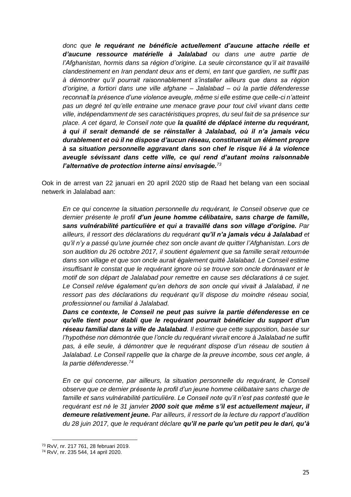*donc que le requérant ne bénéficie actuellement d'aucune attache réelle et d'aucune ressource matérielle à Jalalabad ou dans une autre partie de l'Afghanistan, hormis dans sa région d'origine. La seule circonstance qu'il ait travaillé clandestinement en Iran pendant deux ans et demi, en tant que gardien, ne suffit pas à démontrer qu'il pourrait raisonnablement s'installer ailleurs que dans sa région d'origine, a fortiori dans une ville afghane – Jalalabad – où la partie défenderesse reconnaît la présence d'une violence aveugle, même si elle estime que celle-ci n'atteint pas un degré tel qu'elle entraine une menace grave pour tout civil vivant dans cette ville, indépendamment de ses caractéristiques propres, du seul fait de sa présence sur place. A cet égard, le Conseil note que la qualité de déplacé interne du requérant, à qui il serait demandé de se réinstaller à Jalalabad, où il n'a jamais vécu durablement et où il ne dispose d'aucun réseau, constituerait un élément propre à sa situation personnelle aggravant dans son chef le risque lié à la violence aveugle sévissant dans cette ville, ce qui rend d'autant moins raisonnable l'alternative de protection interne ainsi envisagée.<sup>73</sup>*

Ook in de arrest van 22 januari en 20 april 2020 stip de Raad het belang van een sociaal netwerk in Jalalabad aan:

*En ce qui concerne la situation personnelle du requérant, le Conseil observe que ce dernier présente le profil d'un jeune homme célibataire, sans charge de famille, sans vulnérabilité particulière et qui a travaillé dans son village d'origine. Par ailleurs, il ressort des déclarations du requérant qu'il n'a jamais vécu à Jalalabad et qu'il n'y a passé qu'une journée chez son oncle avant de quitter l'Afghanistan. Lors de son audition du 26 octobre 2017, il soutient également que sa famille serait retournée dans son village et que son oncle aurait également quitté Jalalabad. Le Conseil estime insuffisant le constat que le requérant ignore où se trouve son oncle dorénavant et le motif de son départ de Jalalabad pour remettre en cause ses déclarations à ce sujet. Le Conseil relève également qu'en dehors de son oncle qui vivait à Jalalabad, il ne ressort pas des déclarations du requérant qu'il dispose du moindre réseau social, professionnel ou familial à Jalalabad.*

*Dans ce contexte, le Conseil ne peut pas suivre la partie défenderesse en ce qu'elle tient pour établi que le requérant pourrait bénéficier du support d'un réseau familial dans la ville de Jalalabad. Il estime que cette supposition, basée sur l'hypothèse non démontrée que l'oncle du requérant vivrait encore à Jalalabad ne suffit pas, à elle seule, à démontrer que le requérant dispose d'un réseau de soutien à Jalalabad. Le Conseil rappelle que la charge de la preuve incombe, sous cet angle, à la partie défenderesse. 74*

*En ce qui concerne, par ailleurs, la situation personnelle du requérant, le Conseil observe que ce dernier présente le profil d'un jeune homme célibataire sans charge de famille et sans vulnérabilité particulière. Le Conseil note qu'il n'est pas contesté que le requérant est né le 31 janvier 2000 soit que même s'il est actuellement majeur, il demeure relativement jeune. Par ailleurs, il ressort de la lecture du rapport d'audition du 28 juin 2017, que le requérant déclare qu'il ne parle qu'un petit peu le dari, qu'à*

<sup>73</sup> RvV, nr. 217 761, 28 februari 2019.

<sup>74</sup> RvV, nr. 235 544, 14 april 2020.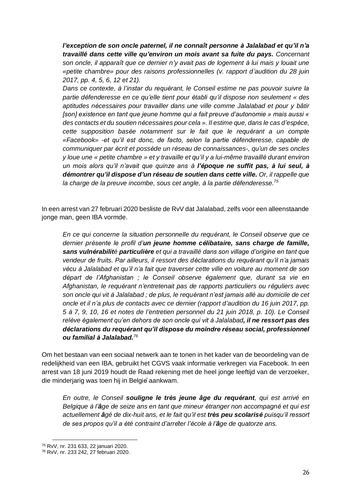*l'exception de son oncle paternel, il ne connaît personne à Jalalabad et qu'il n'a travaillé dans cette ville qu'environ un mois avant sa fuite du pays. Concernant son oncle, il apparaît que ce dernier n'y avait pas de logement à lui mais y louait une «petite chambre» pour des raisons professionnelles (v. rapport d'audition du 28 juin 2017, pp. 4, 5, 6, 12 et 21).* 

*Dans ce contexte, à l'instar du requérant, le Conseil estime ne pas pouvoir suivre la partie défenderesse en ce qu'elle tient pour établi qu'il dispose non seulement « des aptitudes nécessaires pour travailler dans une ville comme Jalalabad et pour y bâtir [son] existence en tant que jeune homme qui a fait preuve d'autonomie » mais aussi « des contacts et du soutien nécessaires pour cela ». Il estime que, dans le cas d'espèce, cette supposition basée notamment sur le fait que le requérant a un compte «Facebook» -et qu'il est donc, de facto, selon la partie défenderesse, capable de communiquer par écrit et possède un réseau de connaissances-, qu'un de ses oncles y loue une « petite chambre » et y travaille et qu'il y a lui-même travaillé durant environ un mois alors qu'il n'avait que quinze ans à l'époque ne suffit pas, à lui seul, à démontrer qu'il dispose d'un réseau de soutien dans cette ville. Or, il rappelle que la charge de la preuve incombe, sous cet angle, à la partie défenderesse.<sup>75</sup>*

In een arrest van 27 februari 2020 besliste de RvV dat Jalalabad, zelfs voor een alleenstaande jonge man, geen IBA vormde.

*En ce qui concerne la situation personnelle du requérant, le Conseil observe que ce dernier présente le profil d'un jeune homme célibataire, sans charge de famille, sans vulnérabilité particulière et qui a travaillé dans son village d'origine en tant que vendeur de fruits. Par ailleurs, il ressort des déclarations du requérant qu'il n'a jamais vécu à Jalalabad et qu'il n'a fait que traverser cette ville en voiture au moment de son départ de l'Afghanistan ; le Conseil observe également que, durant sa vie en Afghanistan, le requérant n'entretenait pas de rapports particuliers ou réguliers avec son oncle qui vit à Jalalabad ; de plus, le requérant n'est jamais allé au domicile de cet oncle et il n'a plus de contacts avec ce dernier (rapport d'audition du 16 juin 2017, pp. 5 à 7, 9, 10, 16 et notes de l'entretien personnel du 21 juin 2018, p. 10). Le Conseil relève également qu'en dehors de son oncle qui vit à Jalalabad, il ne ressort pas des déclarations du requérant qu'il dispose du moindre réseau social, professionnel ou familial à Jalalabad.<sup>76</sup>*

Om het bestaan van een sociaal netwerk aan te tonen in het kader van de beoordeling van de redelijkheid van een IBA, gebruikt het CGVS vaak informatie verkregen via Facebook. In een arrest van 18 juni 2019 houdt de Raad rekening met de heel jonge leeftijd van de verzoeker, die minderjarig was toen hij in Belgie aankwam.

*En outre, le Conseil souligne le très jeune âge du requérant, qui est arrivé en Belgique à l'âge de seize ans en tant que mineur étranger non accompagné et qui est actuellement âgé de dix-huit ans, et le fait qu'il est très peu scolarisé puisqu'il ressort de ses propos qu'il a été contraint d'arrêter l'école à l'âge de quatorze ans.* 

<sup>75</sup> RvV, nr. 231 633, 22 januari 2020.

<sup>76</sup> RvV, nr. 233 242, 27 februari 2020.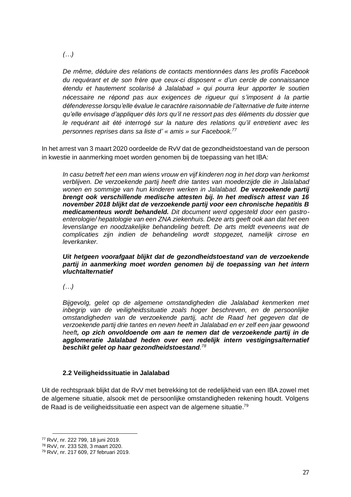*(…)*

*De même, déduire des relations de contacts mentionnées dans les profils Facebook du requérant et de son frère que ceux-ci disposent « d'un cercle de connaissance étendu et hautement scolarisé à Jalalabad » qui pourra leur apporter le soutien nécessaire ne répond pas aux exigences de rigueur qui s'imposent à la partie défenderesse lorsqu'elle évalue le caractère raisonnable de l'alternative de fuite interne qu'elle envisage d'appliquer dès lors qu'il ne ressort pas des éléments du dossier que le requérant ait été interrogé sur la nature des relations qu'il entretient avec les personnes reprises dans sa liste d' « amis » sur Facebook.<sup>77</sup>*

In het arrest van 3 maart 2020 oordeelde de RvV dat de gezondheidstoestand van de persoon in kwestie in aanmerking moet worden genomen bij de toepassing van het IBA:

*In casu betreft het een man wiens vrouw en vijf kinderen nog in het dorp van herkomst verblijven. De verzoekende partij heeft drie tantes van moederzijde die in Jalalabad wonen en sommige van hun kinderen werken in Jalalabad. De verzoekende partij brengt ook verschillende medische attesten bij. In het medisch attest van 16 november 2018 blijkt dat de verzoekende partij voor een chronische hepatitis B medicamenteus wordt behandeld. Dit document werd opgesteld door een gastroenterologie/ hepatologie van een ZNA ziekenhuis. Deze arts geeft ook aan dat het een levenslange en noodzakelijke behandeling betreft. De arts meldt eveneens wat de complicaties zijn indien de behandeling wordt stopgezet, namelijk cirrose en leverkanker.* 

*Uit hetgeen voorafgaat blijkt dat de gezondheidstoestand van de verzoekende partij in aanmerking moet worden genomen bij de toepassing van het intern vluchtalternatief*

*(…)*

*Bijgevolg, gelet op de algemene omstandigheden die Jalalabad kenmerken met inbegrip van de veiligheidssituatie zoals hoger beschreven, en de persoonlijke omstandigheden van de verzoekende partij, acht de Raad het gegeven dat de verzoekende partij drie tantes en neven heeft in Jalalabad en er zelf een jaar gewoond heeft, op zich onvoldoende om aan te nemen dat de verzoekende partij in de agglomeratie Jalalabad heden over een redelijk intern vestigingsalternatief beschikt gelet op haar gezondheidstoestand. 78*

#### <span id="page-26-0"></span>**2.2 Veiligheidssituatie in Jalalabad**

Uit de rechtspraak blijkt dat de RvV met betrekking tot de redelijkheid van een IBA zowel met de algemene situatie, alsook met de persoonlijke omstandigheden rekening houdt. Volgens de Raad is de veiligheidssituatie een aspect van de algemene situatie.<sup>79</sup>

<sup>77</sup> RvV, nr. 222 799, 18 juni 2019.

<sup>78</sup> RvV, nr. 233 528, 3 maart 2020.

<sup>79</sup> RvV, nr. 217 609, 27 februari 2019.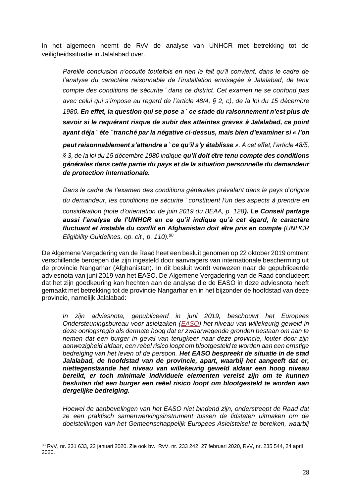In het algemeen neemt de RvV de analyse van UNHCR met betrekking tot de veiligheidssituatie in Jalalabad over.

*Pareille conclusion n'occulte toutefois en rien le fait qu'il convient, dans le cadre de l'analyse du caractère raisonnable de l'installation envisagée à Jalalabad, de tenir compte des conditions de sécurite*́ *dans ce district. Cet examen ne se confond pas avec celui qui s'impose au regard de l'article 48/4, § 2, c), de la loi du 15 décembre 1980. En effet, la question qui se pose a*̀ *ce stade du raisonnement n'est plus de savoir si le requérant risque de subir des atteintes graves à Jalalabad, ce point ayant déja*̀ *éte*́ *tranché par la négative ci-dessus, mais bien d'examiner si « l'on peut raisonnablement s'attendre a*̀ *ce qu'il s'y établisse ». A cet effet, l'article 48/5, § 3, de la loi du 15 décembre 1980 indique qu'il doit être tenu compte des conditions générales dans cette partie du pays et de la situation personnelle du demandeur de protection internationale.* 

*Dans le cadre de l'examen des conditions générales prévalant dans le pays d'origine du demandeur, les conditions de sécurite*́ *constituent l'un des aspects à prendre en considération (note d'orientation de juin 2019 du BEAA, p. 128). Le Conseil partage aussi l'analyse de l'UNHCR en ce qu'il indique qu'à cet égard, le caractère fluctuant et instable du conflit en Afghanistan doit être pris en compte (UNHCR Eligibility Guidelines, op. cit., p. 110).<sup>80</sup>*

De Algemene Vergadering van de Raad heet een besluit genomen op 22 oktober 2019 omtrent verschillende beroepen die zijn ingesteld door aanvragers van internationale bescherming uit de provincie Nangarhar (Afghanistan). In dit besluit wordt verwezen naar de gepubliceerde adviesnota van juni 2019 van het EASO. De Algemene Vergadering van de Raad concludeert dat het zijn goedkeuring kan hechten aan de analyse die de EASO in deze adviesnota heeft gemaakt met betrekking tot de provincie Nangarhar en in het bijzonder de hoofdstad van deze provincie, namelijk Jalalabad:

*In zijn adviesnota, gepubliceerd in juni 2019, beschouwt het Europees Ondersteuningsbureau voor asielzaken [\(EASO\)](https://easo.europa.eu/) het niveau van willekeurig geweld in deze oorlogsregio als dermate hoog dat er zwaarwegende gronden bestaan om aan te nemen dat een burger in geval van terugkeer naar deze provincie, louter door zijn aanwezigheid aldaar, een reëel risico loopt om blootgesteld te worden aan een ernstige bedreiging van het leven of de persoon. Het EASO bespreekt de situatie in de stad Jalalabad, de hoofdstad van de provincie, apart, waarbij het aangeeft dat er, niettegenstaande het niveau van willekeurig geweld aldaar een hoog niveau bereikt, er toch minimale individuele elementen vereist zijn om te kunnen besluiten dat een burger een reëel risico loopt om blootgesteld te worden aan dergelijke bedreiging.*

*Hoewel de aanbevelingen van het EASO niet bindend zijn, onderstreept de Raad dat ze een praktisch samenwerkingsinstrument tussen de lidstaten uitmaken om de doelstellingen van het Gemeenschappelijk Europees Asielstelsel te bereiken, waarbij* 

<sup>80</sup> RvV, nr. 231 633, 22 januari 2020. Zie ook bv.: RvV, nr. 233 242, 27 februari 2020, RvV, nr. 235 544, 24 april 2020.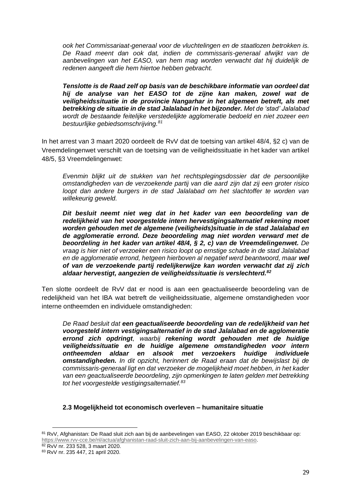*ook het Commissariaat-generaal voor de vluchtelingen en de staatlozen betrokken is. De Raad meent dan ook dat, indien de commissaris-generaal afwijkt van de aanbevelingen van het EASO, van hem mag worden verwacht dat hij duidelijk de redenen aangeeft die hem hiertoe hebben gebracht.*

*Tenslotte is de Raad zelf op basis van de beschikbare informatie van oordeel dat hij de analyse van het EASO tot de zijne kan maken, zowel wat de veiligheidssituatie in de provincie Nangarhar in het algemeen betreft, als met betrekking de situatie in de stad Jalalabad in het bijzonder. Met de 'stad' Jalalabad wordt de bestaande feitelijke verstedelijkte agglomeratie bedoeld en niet zozeer een bestuurlijke gebiedsomschrijving.<sup>81</sup>*

In het arrest van 3 maart 2020 oordeelt de RvV dat de toetsing van artikel 48/4, §2 c) van de Vreemdelingenwet verschilt van de toetsing van de veiligheidssituatie in het kader van artikel 48/5, §3 Vreemdelingenwet:

*Evenmin blijkt uit de stukken van het rechtsplegingsdossier dat de persoonlijke omstandigheden van de verzoekende partij van die aard zijn dat zij een groter risico loopt dan andere burgers in de stad Jalalabad om het slachtoffer te worden van willekeurig geweld.* 

*Dit besluit neemt niet weg dat in het kader van een beoordeling van de redelijkheid van het voorgestelde intern hervestigingsalternatief rekening moet worden gehouden met de algemene (veiligheids)situatie in de stad Jalalabad en de agglomeratie errond. Deze beoordeling mag niet worden verward met de beoordeling in het kader van artikel 48/4, § 2, c) van de Vreemdelingenwet. De vraag is hier niet of verzoeker een risico loopt op ernstige schade in de stad Jalalabad en de agglomeratie errond, hetgeen hierboven al negatief werd beantwoord, maar wel of van de verzoekende partij redelijkerwijze kan worden verwacht dat zij zich aldaar hervestigt, aangezien de veiligheidssituatie is verslechterd.<sup>82</sup>*

Ten slotte oordeelt de RvV dat er nood is aan een geactualiseerde beoordeling van de redelijkheid van het IBA wat betreft de veiligheidssituatie, algemene omstandigheden voor interne ontheemden en individuele omstandigheden:

*De Raad besluit dat een geactualiseerde beoordeling van de redelijkheid van het voorgesteld intern vestigingsalternatief in de stad Jalalabad en de agglomeratie errond zich opdringt, waarbij rekening wordt gehouden met de huidige veiligheidssituatie en de huidige algemene omstandigheden voor intern ontheemden aldaar en alsook met verzoekers huidige individuele omstandigheden. In dit opzicht, herinnert de Raad eraan dat de bewijslast bij de commissaris-generaal ligt en dat verzoeker de mogelijkheid moet hebben, in het kader*  van een geactualiseerde beoordeling, zijn opmerkingen te laten gelden met betrekking *tot het voorgestelde vestigingsalternatief.<sup>83</sup>*

#### <span id="page-28-0"></span>**2.3 Mogelijkheid tot economisch overleven – humanitaire situatie**

<sup>81</sup> RvV, Afghanistan: De Raad sluit zich aan bij de aanbevelingen van EASO, 22 oktober 2019 beschikbaar op: [https://www.rvv-cce.be/nl/actua/afghanistan-raad-sluit-zich-aan-bij-aanbevelingen-van-easo.](https://www.rvv-cce.be/nl/actua/afghanistan-raad-sluit-zich-aan-bij-aanbevelingen-van-easo)

<sup>82</sup> RvV nr. 233 528, 3 maart 2020.

<sup>83</sup> RvV nr. 235 447, 21 april 2020.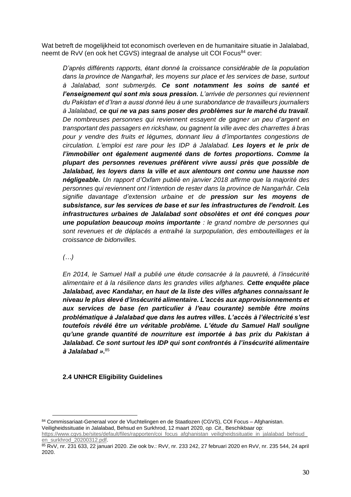Wat betreft de mogelijkheid tot economisch overleven en de humanitaire situatie in Jalalabad, neemt de RvV (en ook het CGVS) integraal de analyse uit COI Focus<sup>84</sup> over:

*D'après différents rapports, étant donné la croissance considérable de la population dans la province de Nangarhâr, les moyens sur place et les services de base, surtout à Jalalabad, sont submergés. Ce sont notamment les soins de santé et l'enseignement qui sont mis sous pression. L'arrivée de personnes qui reviennent du Pakistan et d'Iran a aussi donné lieu à une surabondance de travailleurs journaliers à Jalalabad, ce qui ne va pas sans poser des problèmes sur le marché du travail. De nombreuses personnes qui reviennent essayent de gagner un peu d'argent en transportant des passagers en rickshaw, ou gagnent la ville avec des charrettes à bras pour y vendre des fruits et légumes, donnant lieu à d'importantes congestions de circulation. L'emploi est rare pour les IDP à Jalalabad. Les loyers et le prix de l'immobilier ont également augmenté dans de fortes proportions. Comme la plupart des personnes revenues préfèrent vivre aussi près que possible de Jalalabad, les loyers dans la ville et aux alentours ont connu une hausse non négligeable. Un rapport d'Oxfam publié en janvier 2018 affirme que la majorité des personnes qui reviennent ont l'intention de rester dans la province de Nangarhâr. Cela signifie davantage d'extension urbaine et de pression sur les moyens de subsistance, sur les services de base et sur les infrastructures de l'endroit. Les infrastructures urbaines de Jalalabad sont obsolètes et ont été conçues pour une population beaucoup moins importante : le grand nombre de personnes qui sont revenues et de déplacés a entraîné la surpopulation, des embouteillages et la croissance de bidonvilles.* 

## *(…)*

*En 2014, le Samuel Hall a publié une étude consacrée à la pauvreté, à l'insécurité alimentaire et à la résilience dans les grandes villes afghanes. Cette enquête place Jalalabad, avec Kandahar, en haut de la liste des villes afghanes connaissant le niveau le plus élevé d'insécurité alimentaire. L'accès aux approvisionnements et aux services de base (en particulier à l'eau courante) semble être moins problématique à Jalalabad que dans les autres villes. L'accès à l'électricité s'est toutefois révélé être un véritable problème. L'étude du Samuel Hall souligne qu'une grande quantité de nourriture est importée à bas prix du Pakistan à Jalalabad. Ce sont surtout les IDP qui sont confrontés à l'insécurité alimentaire à Jalalabad ».* 85

## <span id="page-29-0"></span>**2.4 UNHCR Eligibility Guidelines**

<sup>84</sup> Commissariaat-Generaal voor de Vluchtelingen en de Staatlozen (CGVS), COI Focus - Afghanistan. Veiligheidssituatie in Jalalabad, Behsud en Surkhrod, 12 maart 2020, *op. Cit.,* Beschikbaar op:

https://www.cgvs.be/sites/default/files/rapporten/coi\_focus\_afghanistan\_veiligheidssituatie\_in\_jalalabad\_behsud [en\\_surkhrod\\_20200312.pdf.](https://www.cgvs.be/sites/default/files/rapporten/coi_focus_afghanistan_veiligheidssituatie_in_jalalabad_behsud_en_surkhrod_20200312.pdf)

<sup>85</sup> RvV, nr. 231 633, 22 januari 2020. Zie ook bv.: RvV, nr. 233 242, 27 februari 2020 en RvV, nr. 235 544, 24 april 2020.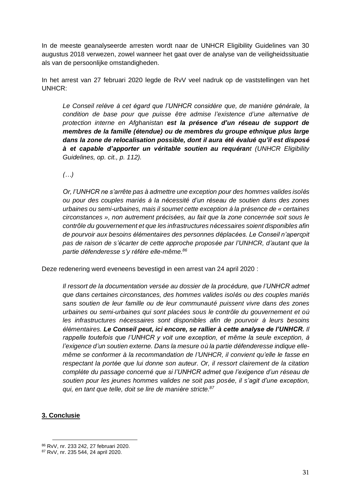In de meeste geanalyseerde arresten wordt naar de UNHCR Eligibility Guidelines van 30 augustus 2018 verwezen, zowel wanneer het gaat over de analyse van de veiligheidssituatie als van de persoonlijke omstandigheden.

In het arrest van 27 februari 2020 legde de RvV veel nadruk op de vaststellingen van het UNHCR:

*Le Conseil relève à cet égard que l'UNHCR considère que, de manière générale, la condition de base pour que puisse être admise l'existence d'une alternative de protection interne en Afghanistan est la présence d'un réseau de support de membres de la famille (étendue) ou de membres du groupe ethnique plus large dans la zone de relocalisation possible, dont il aura été évalué qu'il est disposé à et capable d'apporter un véritable soutien au requérant (UNHCR Eligibility Guidelines, op. cit., p. 112).*

*(…)*

*Or, l'UNHCR ne s'arrête pas à admettre une exception pour des hommes valides isolés ou pour des couples mariés à la nécessité d'un réseau de soutien dans des zones urbaines ou semi-urbaines, mais il soumet cette exception à la présence de « certaines circonstances », non autrement précisées, au fait que la zone concernée soit sous le contrôle du gouvernement et que les infrastructures nécessaires soient disponibles afin de pourvoir aux besoins élémentaires des personnes déplacées. Le Conseil n'aperçoit pas de raison de s'écarter de cette approche proposée par l'UNHCR, d'autant que la partie défenderesse s'y réfère elle-même.<sup>86</sup>*

Deze redenering werd eveneens bevestigd in een arrest van 24 april 2020 :

*Il ressort de la documentation versée au dossier de la procédure, que l'UNHCR admet que dans certaines circonstances, des hommes valides isolés ou des couples mariés sans soutien de leur famille ou de leur communauté puissent vivre dans des zones urbaines ou semi-urbaines qui sont placées sous le contrôle du gouvernement et où les infrastructures nécessaires sont disponibles afin de pourvoir à leurs besoins élémentaires. Le Conseil peut, ici encore, se rallier à cette analyse de l'UNHCR. Il rappelle toutefois que l'UNHCR y voit une exception, et même la seule exception, à l'exigence d'un soutien externe. Dans la mesure où la partie défenderesse indique ellemême se conformer à la recommandation de l'UNHCR, il convient qu'elle le fasse en respectant la portée que lui donne son auteur. Or, il ressort clairement de la citation complète du passage concerné que si l'UNHCR admet que l'exigence d'un réseau de soutien pour les jeunes hommes valides ne soit pas posée, il s'agit d'une exception, qui, en tant que telle, doit se lire de manière stricte.<sup>87</sup>*

## <span id="page-30-0"></span>**3. Conclusie**

<sup>86</sup> RvV, nr. 233 242, 27 februari 2020.

<sup>87</sup> RvV, nr. 235 544, 24 april 2020.